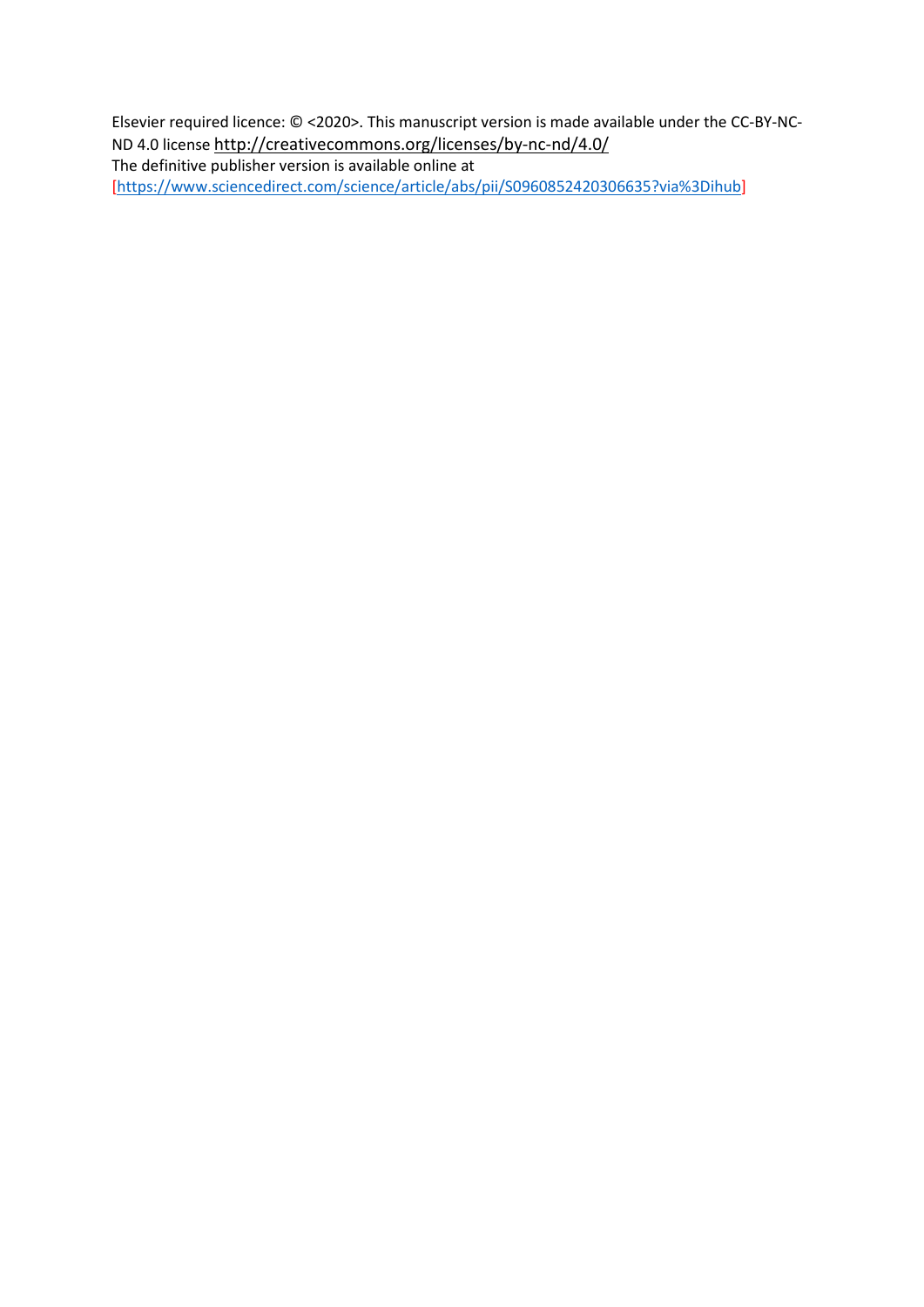Elsevier required licence: © <2020>. This manuscript version is made available under the CC-BY-NC-ND 4.0 license<http://creativecommons.org/licenses/by-nc-nd/4.0/>

The definitive publisher version is available online at [\[https://www.sciencedirect.com/science/article/abs/pii/S0960852420306635?via%3Dihub\]](https://www.sciencedirect.com/science/article/abs/pii/S0960852420306635?via%3Dihub)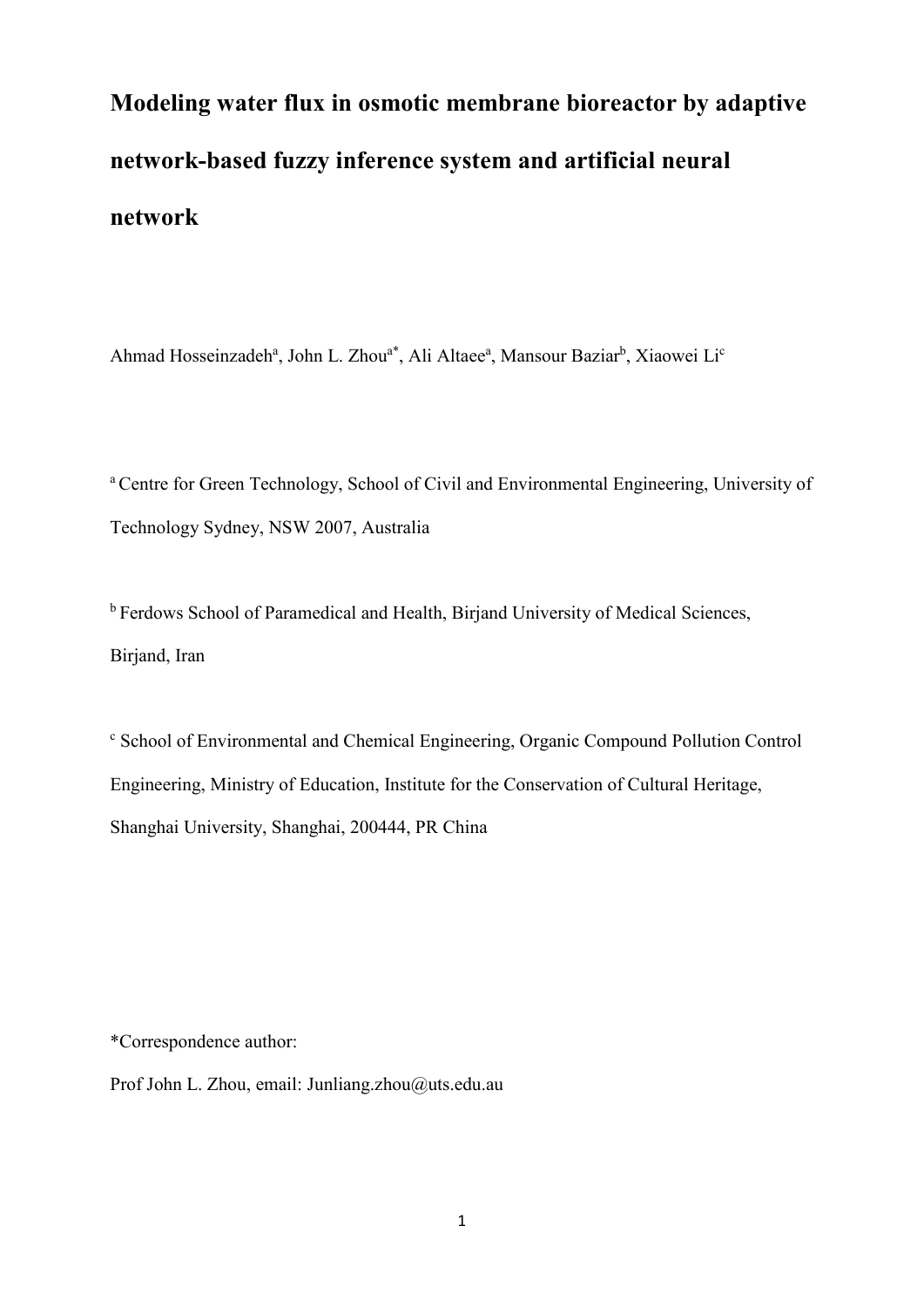# **Modeling water flux in osmotic membrane bioreactor by adaptive network-based fuzzy inference system and artificial neural network**

Ahmad Hosseinzadeh<sup>a</sup>, John L. Zhou<sup>a\*</sup>, Ali Altaee<sup>a</sup>, Mansour Baziar<sup>b</sup>, Xiaowei Li<sup>c</sup>

a Centre for Green Technology, School of Civil and Environmental Engineering, University of Technology Sydney, NSW 2007, Australia

<sup>b</sup> Ferdows School of Paramedical and Health, Birjand University of Medical Sciences, Birjand, Iran

<sup>c</sup> School of Environmental and Chemical Engineering, Organic Compound Pollution Control Engineering, Ministry of Education, Institute for the Conservation of Cultural Heritage, Shanghai University, Shanghai, 200444, PR China

\*Correspondence author:

Prof John L. Zhou, email: Junliang.zhou@uts.edu.au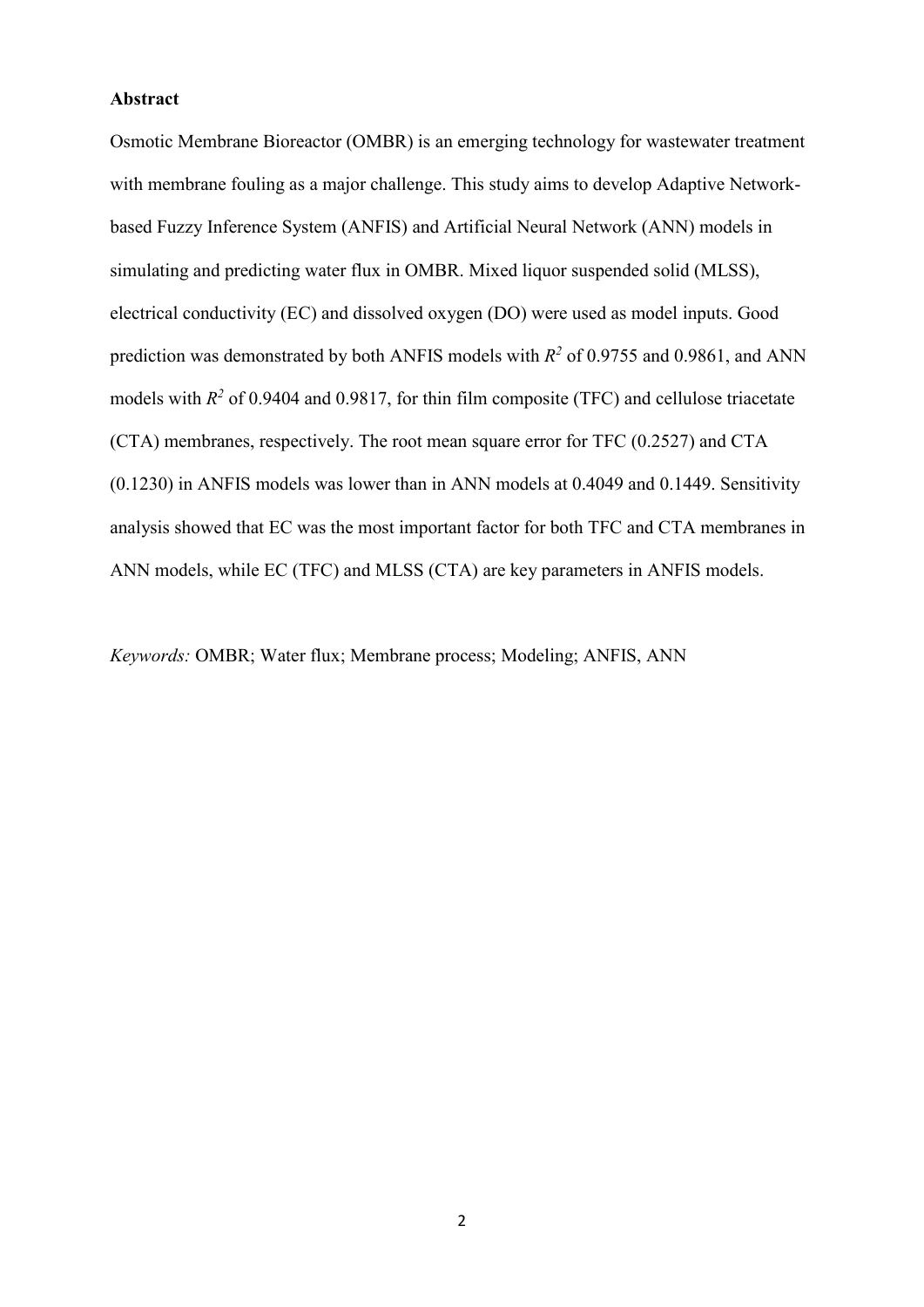## **Abstract**

Osmotic Membrane Bioreactor (OMBR) is an emerging technology for wastewater treatment with membrane fouling as a major challenge. This study aims to develop Adaptive Networkbased Fuzzy Inference System (ANFIS) and Artificial Neural Network (ANN) models in simulating and predicting water flux in OMBR. Mixed liquor suspended solid (MLSS), electrical conductivity (EC) and dissolved oxygen (DO) were used as model inputs. Good prediction was demonstrated by both ANFIS models with *R2* of 0.9755 and 0.9861, and ANN models with  $R^2$  of 0.9404 and 0.9817, for thin film composite (TFC) and cellulose triacetate (CTA) membranes, respectively. The root mean square error for TFC (0.2527) and CTA (0.1230) in ANFIS models was lower than in ANN models at 0.4049 and 0.1449. Sensitivity analysis showed that EC was the most important factor for both TFC and CTA membranes in ANN models, while EC (TFC) and MLSS (CTA) are key parameters in ANFIS models.

*Keywords:* OMBR; Water flux; Membrane process; Modeling; ANFIS, ANN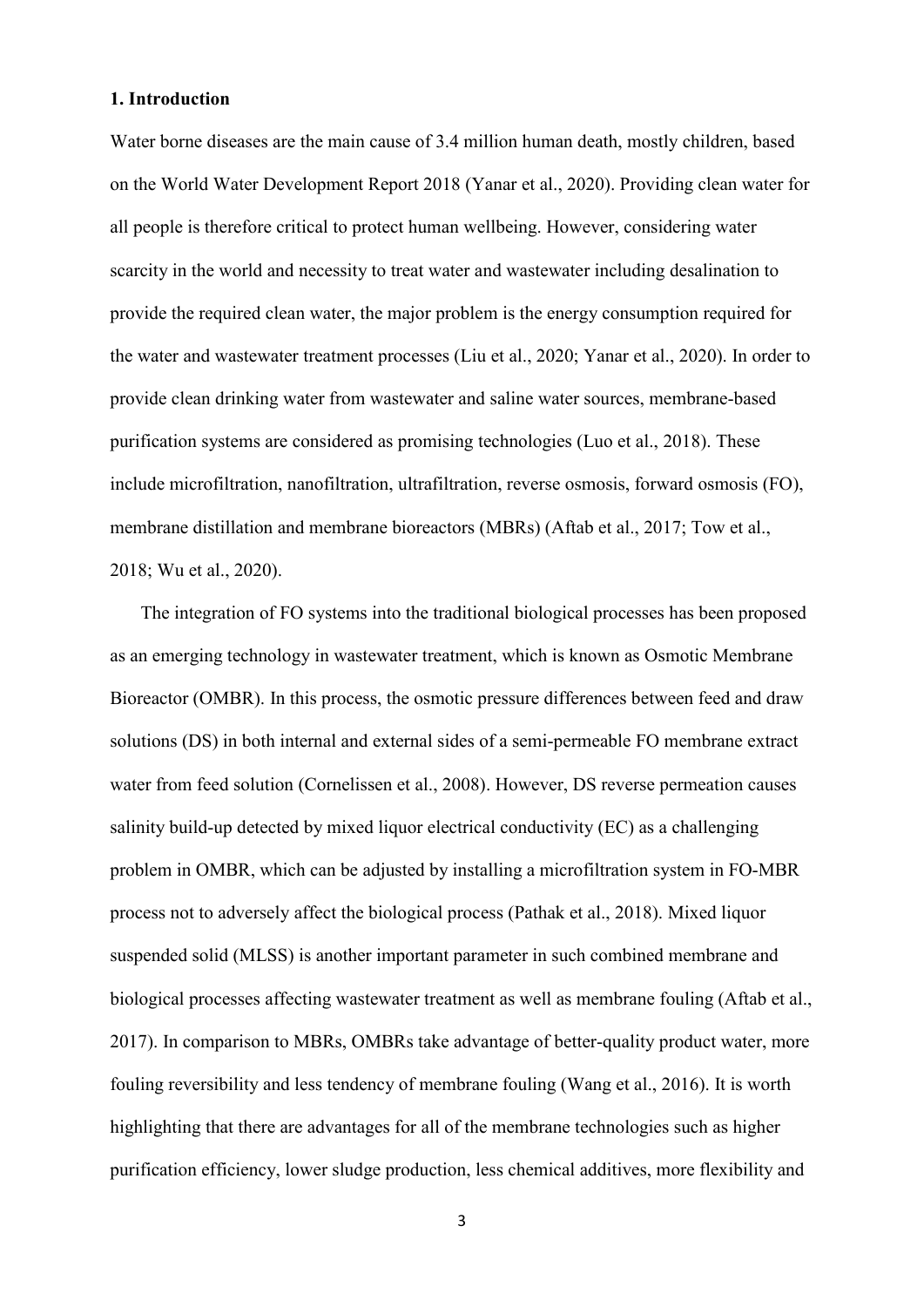## **1. Introduction**

Water borne diseases are the main cause of 3.4 million human death, mostly children, based on the World Water Development Report 2018 (Yanar et al., 2020). Providing clean water for all people is therefore critical to protect human wellbeing. However, considering water scarcity in the world and necessity to treat water and wastewater including desalination to provide the required clean water, the major problem is the energy consumption required for the water and wastewater treatment processes (Liu et al., 2020; Yanar et al., 2020). In order to provide clean drinking water from wastewater and saline water sources, membrane-based purification systems are considered as promising technologies (Luo et al., 2018). These include microfiltration, nanofiltration, ultrafiltration, reverse osmosis, forward osmosis (FO), membrane distillation and membrane bioreactors (MBRs) (Aftab et al., 2017; Tow et al., 2018; Wu et al., 2020).

The integration of FO systems into the traditional biological processes has been proposed as an emerging technology in wastewater treatment, which is known as Osmotic Membrane Bioreactor (OMBR). In this process, the osmotic pressure differences between feed and draw solutions (DS) in both internal and external sides of a semi-permeable FO membrane extract water from feed solution (Cornelissen et al., 2008). However, DS reverse permeation causes salinity build-up detected by mixed liquor electrical conductivity (EC) as a challenging problem in OMBR, which can be adjusted by installing a microfiltration system in FO-MBR process not to adversely affect the biological process (Pathak et al., 2018). Mixed liquor suspended solid (MLSS) is another important parameter in such combined membrane and biological processes affecting wastewater treatment as well as membrane fouling (Aftab et al., 2017). In comparison to MBRs, OMBRs take advantage of better-quality product water, more fouling reversibility and less tendency of membrane fouling (Wang et al., 2016). It is worth highlighting that there are advantages for all of the membrane technologies such as higher purification efficiency, lower sludge production, less chemical additives, more flexibility and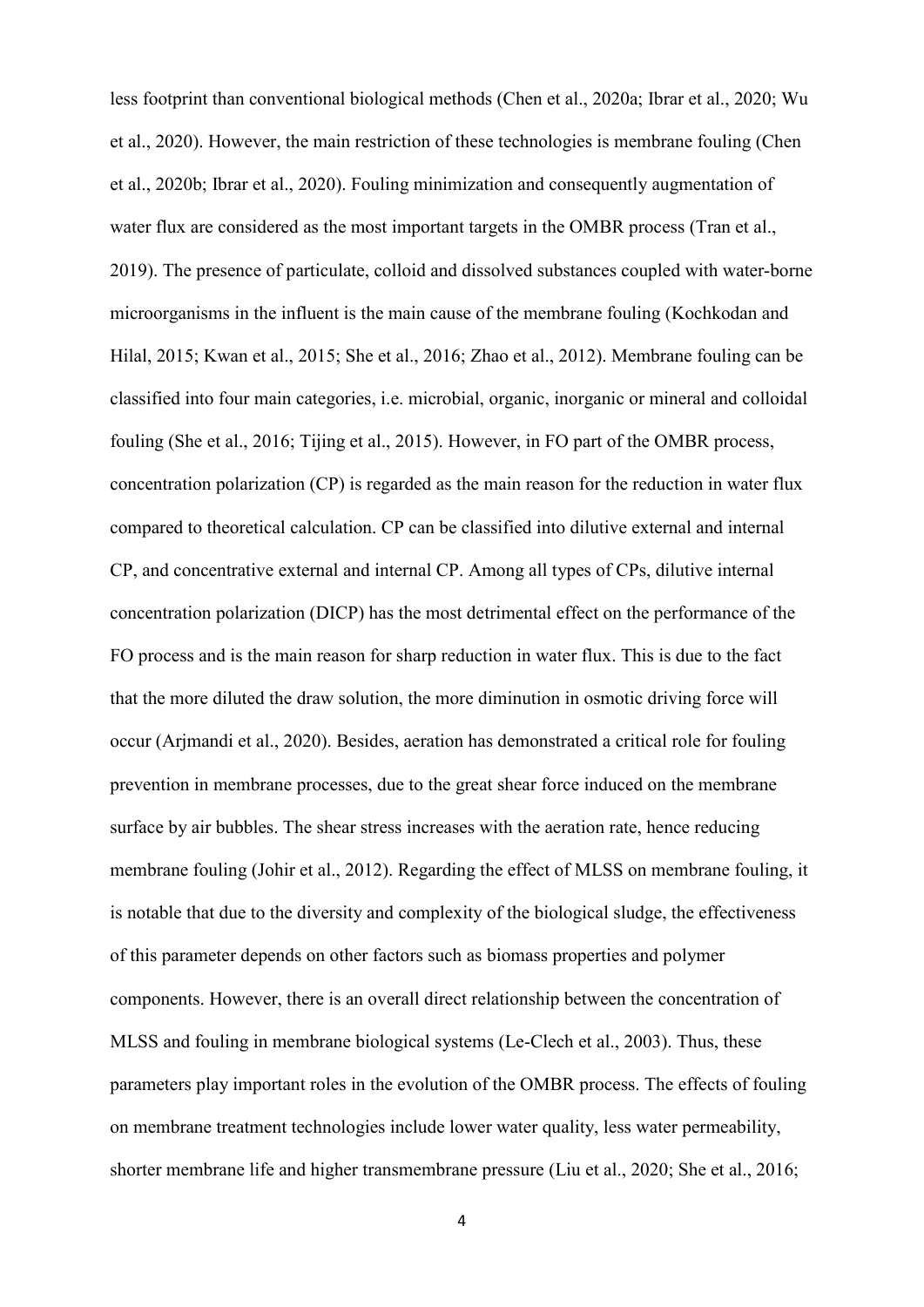less footprint than conventional biological methods (Chen et al., 2020a; Ibrar et al., 2020; Wu et al., 2020). However, the main restriction of these technologies is membrane fouling (Chen et al., 2020b; Ibrar et al., 2020). Fouling minimization and consequently augmentation of water flux are considered as the most important targets in the OMBR process (Tran et al., 2019). The presence of particulate, colloid and dissolved substances coupled with water-borne microorganisms in the influent is the main cause of the membrane fouling (Kochkodan and Hilal, 2015; Kwan et al., 2015; She et al., 2016; Zhao et al., 2012). Membrane fouling can be classified into four main categories, i.e. microbial, organic, inorganic or mineral and colloidal fouling (She et al., 2016; Tijing et al., 2015). However, in FO part of the OMBR process, concentration polarization (CP) is regarded as the main reason for the reduction in water flux compared to theoretical calculation. CP can be classified into dilutive external and internal CP, and concentrative external and internal CP. Among all types of CPs, dilutive internal concentration polarization (DICP) has the most detrimental effect on the performance of the FO process and is the main reason for sharp reduction in water flux. This is due to the fact that the more diluted the draw solution, the more diminution in osmotic driving force will occur (Arjmandi et al., 2020). Besides, aeration has demonstrated a critical role for fouling prevention in membrane processes, due to the great shear force induced on the membrane surface by air bubbles. The shear stress increases with the aeration rate, hence reducing membrane fouling (Johir et al., 2012). Regarding the effect of MLSS on membrane fouling, it is notable that due to the diversity and complexity of the biological sludge, the effectiveness of this parameter depends on other factors such as biomass properties and polymer components. However, there is an overall direct relationship between the concentration of MLSS and fouling in membrane biological systems (Le-Clech et al., 2003). Thus, these parameters play important roles in the evolution of the OMBR process. The effects of fouling on membrane treatment technologies include lower water quality, less water permeability, shorter membrane life and higher transmembrane pressure (Liu et al., 2020; She et al., 2016;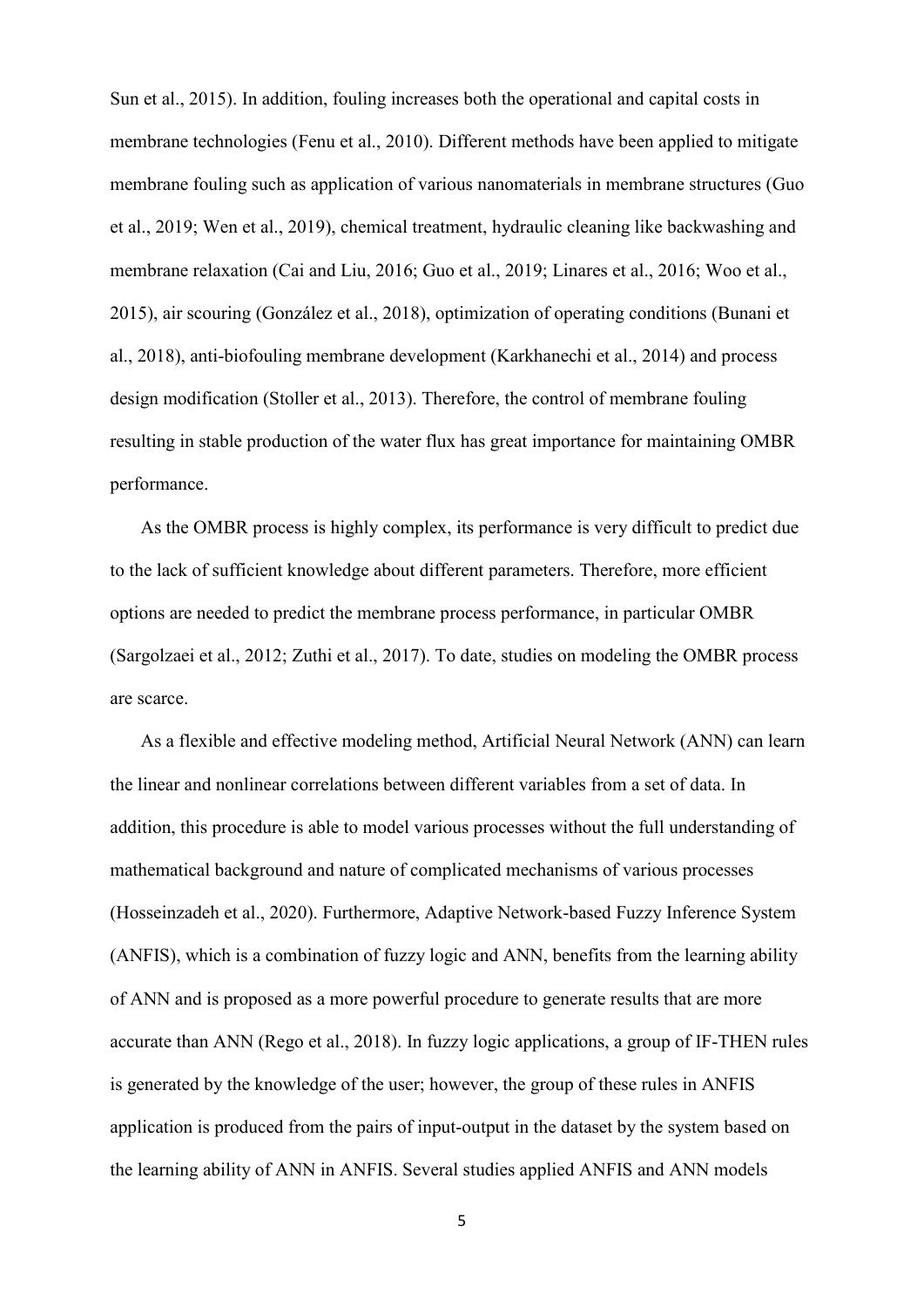Sun et al., 2015). In addition, fouling increases both the operational and capital costs in membrane technologies (Fenu et al., 2010). Different methods have been applied to mitigate membrane fouling such as application of various nanomaterials in membrane structures (Guo et al., 2019; Wen et al., 2019), chemical treatment, hydraulic cleaning like backwashing and membrane relaxation (Cai and Liu, 2016; Guo et al., 2019; Linares et al., 2016; Woo et al., 2015), air scouring (González et al., 2018), optimization of operating conditions (Bunani et al., 2018), anti-biofouling membrane development (Karkhanechi et al., 2014) and process design modification (Stoller et al., 2013). Therefore, the control of membrane fouling resulting in stable production of the water flux has great importance for maintaining OMBR performance.

As the OMBR process is highly complex, its performance is very difficult to predict due to the lack of sufficient knowledge about different parameters. Therefore, more efficient options are needed to predict the membrane process performance, in particular OMBR (Sargolzaei et al., 2012; Zuthi et al., 2017). To date, studies on modeling the OMBR process are scarce.

As a flexible and effective modeling method, Artificial Neural Network (ANN) can learn the linear and nonlinear correlations between different variables from a set of data. In addition, this procedure is able to model various processes without the full understanding of mathematical background and nature of complicated mechanisms of various processes (Hosseinzadeh et al., 2020). Furthermore, Adaptive Network-based Fuzzy Inference System (ANFIS), which is a combination of fuzzy logic and ANN, benefits from the learning ability of ANN and is proposed as a more powerful procedure to generate results that are more accurate than ANN (Rego et al., 2018). In fuzzy logic applications, a group of IF-THEN rules is generated by the knowledge of the user; however, the group of these rules in ANFIS application is produced from the pairs of input-output in the dataset by the system based on the learning ability of ANN in ANFIS. Several studies applied ANFIS and ANN models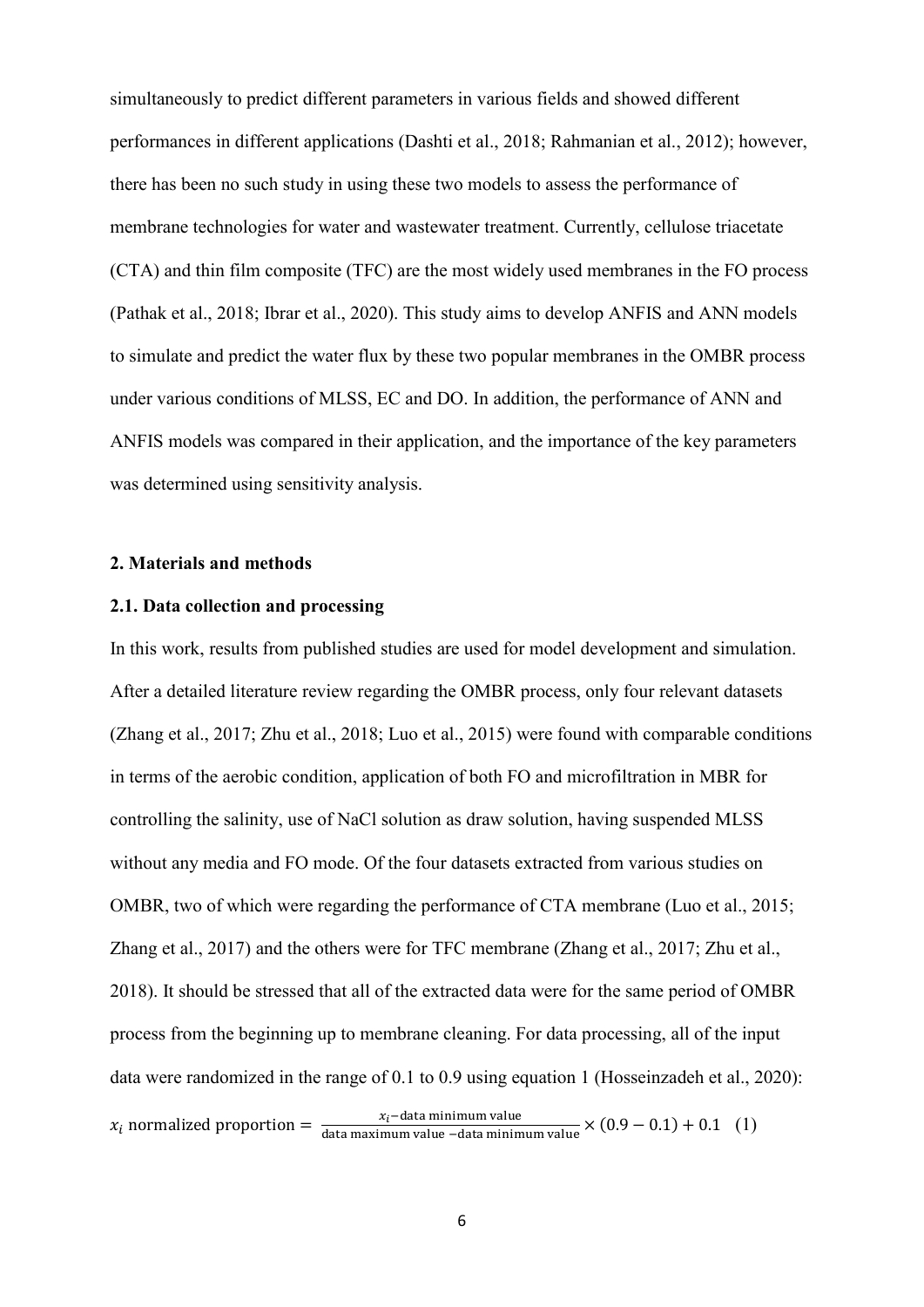simultaneously to predict different parameters in various fields and showed different performances in different applications (Dashti et al., 2018; Rahmanian et al., 2012); however, there has been no such study in using these two models to assess the performance of membrane technologies for water and wastewater treatment. Currently, cellulose triacetate (CTA) and thin film composite (TFC) are the most widely used membranes in the FO process (Pathak et al., 2018; Ibrar et al., 2020). This study aims to develop ANFIS and ANN models to simulate and predict the water flux by these two popular membranes in the OMBR process under various conditions of MLSS, EC and DO. In addition, the performance of ANN and ANFIS models was compared in their application, and the importance of the key parameters was determined using sensitivity analysis.

#### **2. Materials and methods**

# **2.1. Data collection and processing**

In this work, results from published studies are used for model development and simulation. After a detailed literature review regarding the OMBR process, only four relevant datasets (Zhang et al., 2017; Zhu et al., 2018; Luo et al., 2015) were found with comparable conditions in terms of the aerobic condition, application of both FO and microfiltration in MBR for controlling the salinity, use of NaCl solution as draw solution, having suspended MLSS without any media and FO mode. Of the four datasets extracted from various studies on OMBR, two of which were regarding the performance of CTA membrane (Luo et al., 2015; Zhang et al., 2017) and the others were for TFC membrane (Zhang et al., 2017; Zhu et al., 2018). It should be stressed that all of the extracted data were for the same period of OMBR process from the beginning up to membrane cleaning. For data processing, all of the input data were randomized in the range of 0.1 to 0.9 using equation 1 (Hosseinzadeh et al., 2020):  $x_i$  normalized proportion =  $\frac{x_i$ –data minimum value  $(0.9 - 0.1) + 0.1$  (1)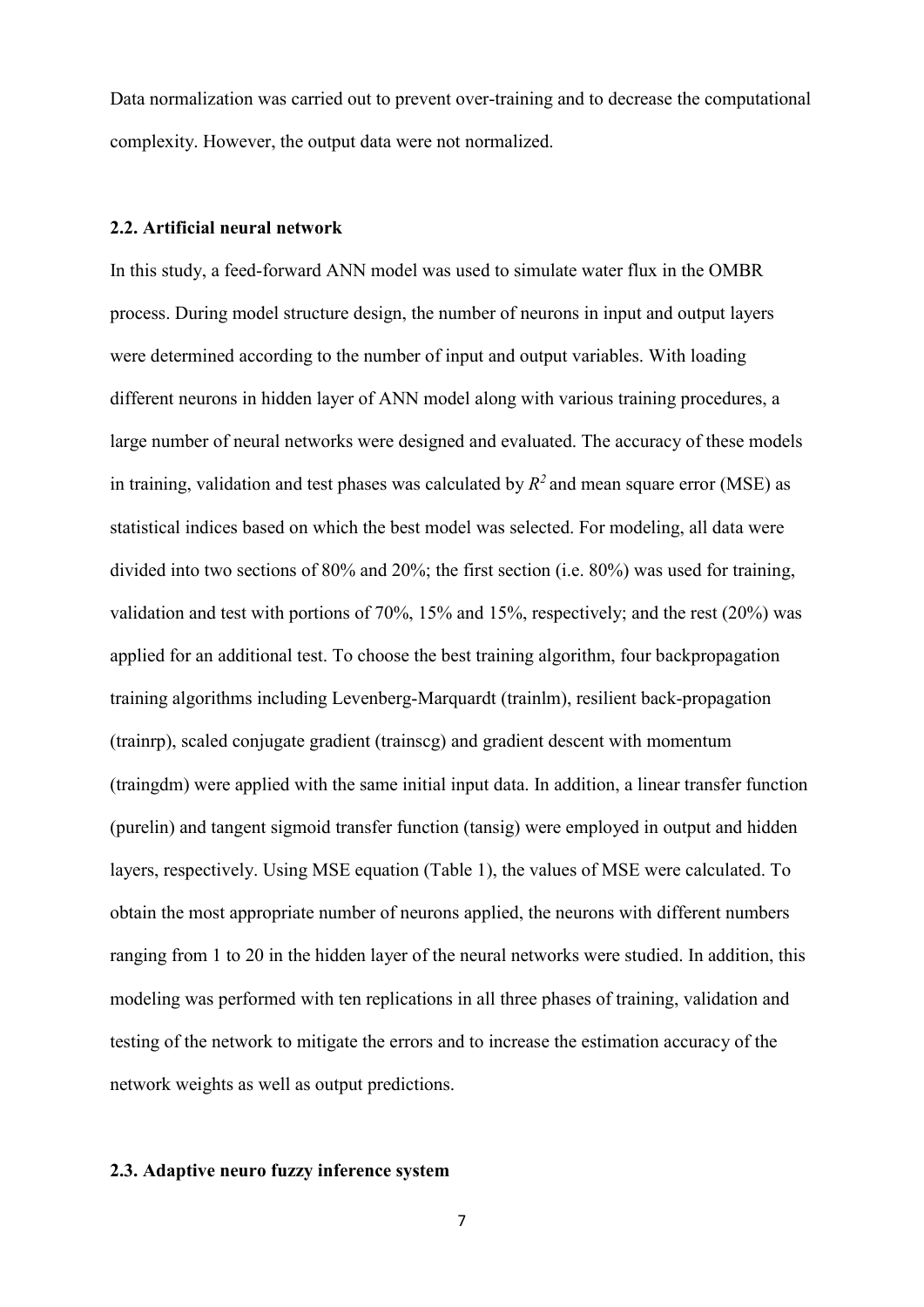Data normalization was carried out to prevent over-training and to decrease the computational complexity. However, the output data were not normalized.

#### **2.2. Artificial neural network**

In this study, a feed-forward ANN model was used to simulate water flux in the OMBR process. During model structure design, the number of neurons in input and output layers were determined according to the number of input and output variables. With loading different neurons in hidden layer of ANN model along with various training procedures, a large number of neural networks were designed and evaluated. The accuracy of these models in training, validation and test phases was calculated by  $R^2$  and mean square error (MSE) as statistical indices based on which the best model was selected. For modeling, all data were divided into two sections of 80% and 20%; the first section (i.e. 80%) was used for training, validation and test with portions of 70%, 15% and 15%, respectively; and the rest (20%) was applied for an additional test. To choose the best training algorithm, four backpropagation training algorithms including Levenberg-Marquardt (trainlm), resilient back-propagation (trainrp), scaled conjugate gradient (trainscg) and gradient descent with momentum (traingdm) were applied with the same initial input data. In addition, a linear transfer function (purelin) and tangent sigmoid transfer function (tansig) were employed in output and hidden layers, respectively. Using MSE equation (Table 1), the values of MSE were calculated. To obtain the most appropriate number of neurons applied, the neurons with different numbers ranging from 1 to 20 in the hidden layer of the neural networks were studied. In addition, this modeling was performed with ten replications in all three phases of training, validation and testing of the network to mitigate the errors and to increase the estimation accuracy of the network weights as well as output predictions.

# **2.3. Adaptive neuro fuzzy inference system**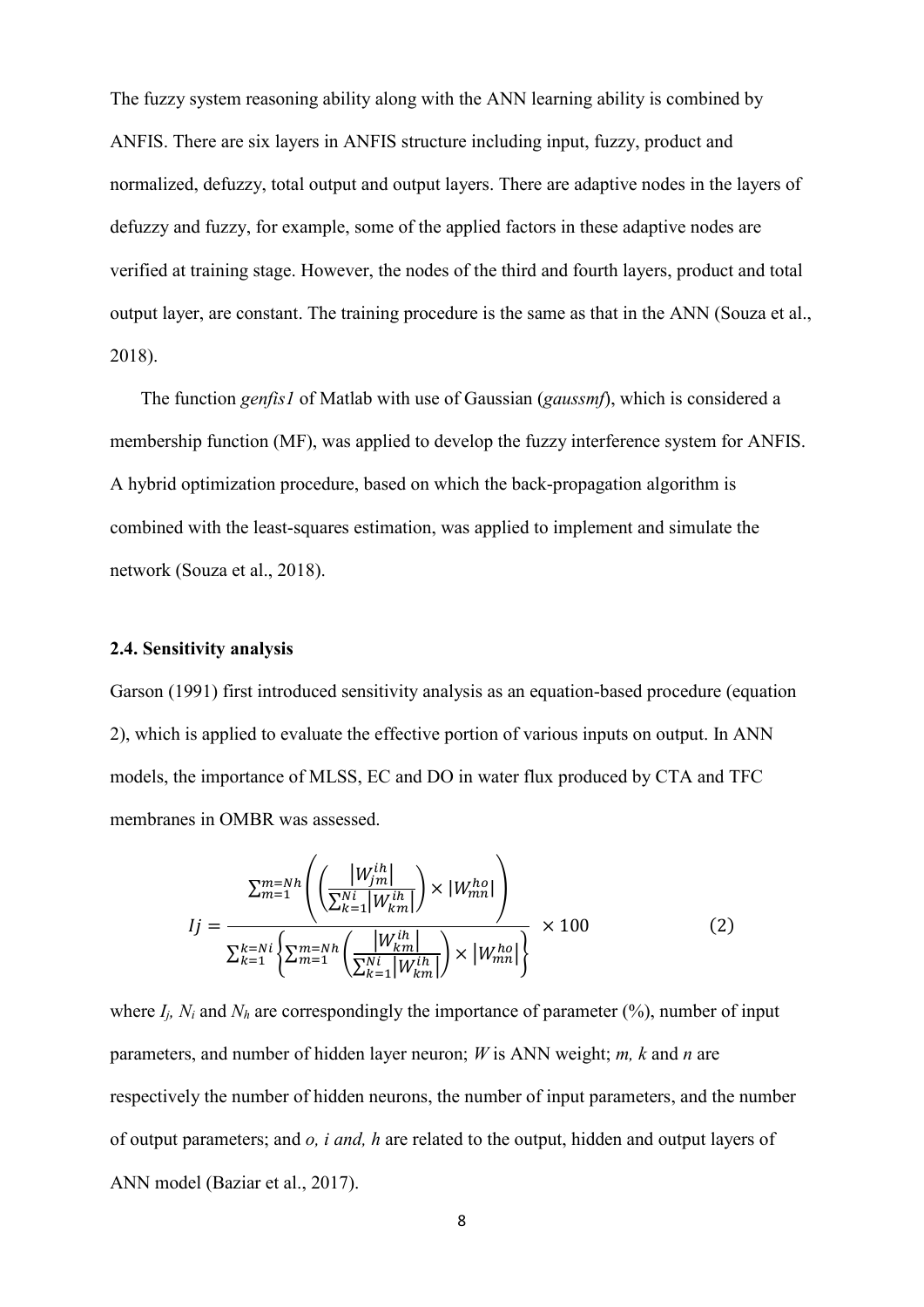The fuzzy system reasoning ability along with the ANN learning ability is combined by ANFIS. There are six layers in ANFIS structure including input, fuzzy, product and normalized, defuzzy, total output and output layers. There are adaptive nodes in the layers of defuzzy and fuzzy, for example, some of the applied factors in these adaptive nodes are verified at training stage. However, the nodes of the third and fourth layers, product and total output layer, are constant. The training procedure is the same as that in the ANN (Souza et al., 2018).

The function *genfis1* of Matlab with use of Gaussian (*gaussmf*), which is considered a membership function (MF), was applied to develop the fuzzy interference system for ANFIS. A hybrid optimization procedure, based on which the back-propagation algorithm is combined with the least-squares estimation, was applied to implement and simulate the network (Souza et al., 2018).

#### **2.4. Sensitivity analysis**

Garson (1991) first introduced sensitivity analysis as an equation-based procedure (equation 2), which is applied to evaluate the effective portion of various inputs on output. In ANN models, the importance of MLSS, EC and DO in water flux produced by CTA and TFC membranes in OMBR was assessed.

$$
Ij = \frac{\sum_{m=1}^{m=Nh} \left( \left( \frac{|W_{jm}^{ih}|}{\sum_{k=1}^{Ni} |W_{km}^{ih}|} \right) \times |W_{mn}^{ho}| \right)}{\sum_{k=1}^{k=Ni} \left\{ \sum_{m=1}^{m=Nh} \left( \frac{|W_{km}^{ih}|}{\sum_{k=1}^{Ni} |W_{km}^{ih}|} \right) \times |W_{mn}^{ho}| \right\}} \times 100
$$
 (2)

where  $I_i$ ,  $N_i$  and  $N_h$  are correspondingly the importance of parameter  $(\%)$ , number of input parameters, and number of hidden layer neuron; *W* is ANN weight; *m, k* and *n* are respectively the number of hidden neurons, the number of input parameters, and the number of output parameters; and *o, i and, h* are related to the output, hidden and output layers of ANN model (Baziar et al., 2017).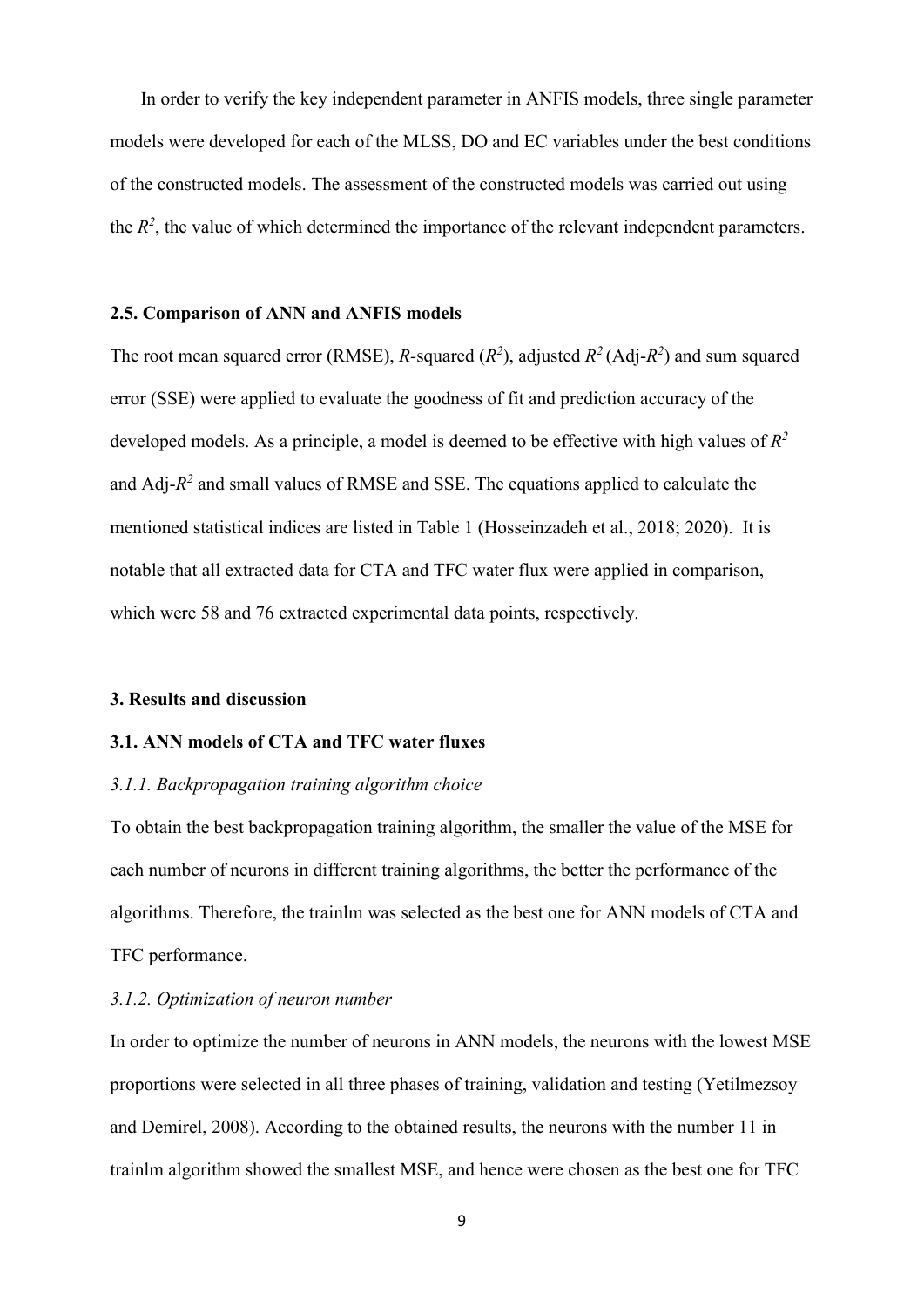In order to verify the key independent parameter in ANFIS models, three single parameter models were developed for each of the MLSS, DO and EC variables under the best conditions of the constructed models. The assessment of the constructed models was carried out using the  $R<sup>2</sup>$ , the value of which determined the importance of the relevant independent parameters.

## **2.5. Comparison of ANN and ANFIS models**

The root mean squared error (RMSE), *R*-squared ( $R^2$ ), adjusted  $R^2$  (Adj- $R^2$ ) and sum squared error (SSE) were applied to evaluate the goodness of fit and prediction accuracy of the developed models. As a principle, a model is deemed to be effective with high values of *R2*  and Adj-*R2* and small values of RMSE and SSE. The equations applied to calculate the mentioned statistical indices are listed in Table 1 (Hosseinzadeh et al., 2018; 2020). It is notable that all extracted data for CTA and TFC water flux were applied in comparison, which were 58 and 76 extracted experimental data points, respectively.

#### **3. Results and discussion**

# **3.1. ANN models of CTA and TFC water fluxes**

#### *3.1.1. Backpropagation training algorithm choice*

To obtain the best backpropagation training algorithm, the smaller the value of the MSE for each number of neurons in different training algorithms, the better the performance of the algorithms. Therefore, the trainlm was selected as the best one for ANN models of CTA and TFC performance.

# *3.1.2. Optimization of neuron number*

In order to optimize the number of neurons in ANN models, the neurons with the lowest MSE proportions were selected in all three phases of training, validation and testing (Yetilmezsoy and Demirel, 2008). According to the obtained results, the neurons with the number 11 in trainlm algorithm showed the smallest MSE, and hence were chosen as the best one for TFC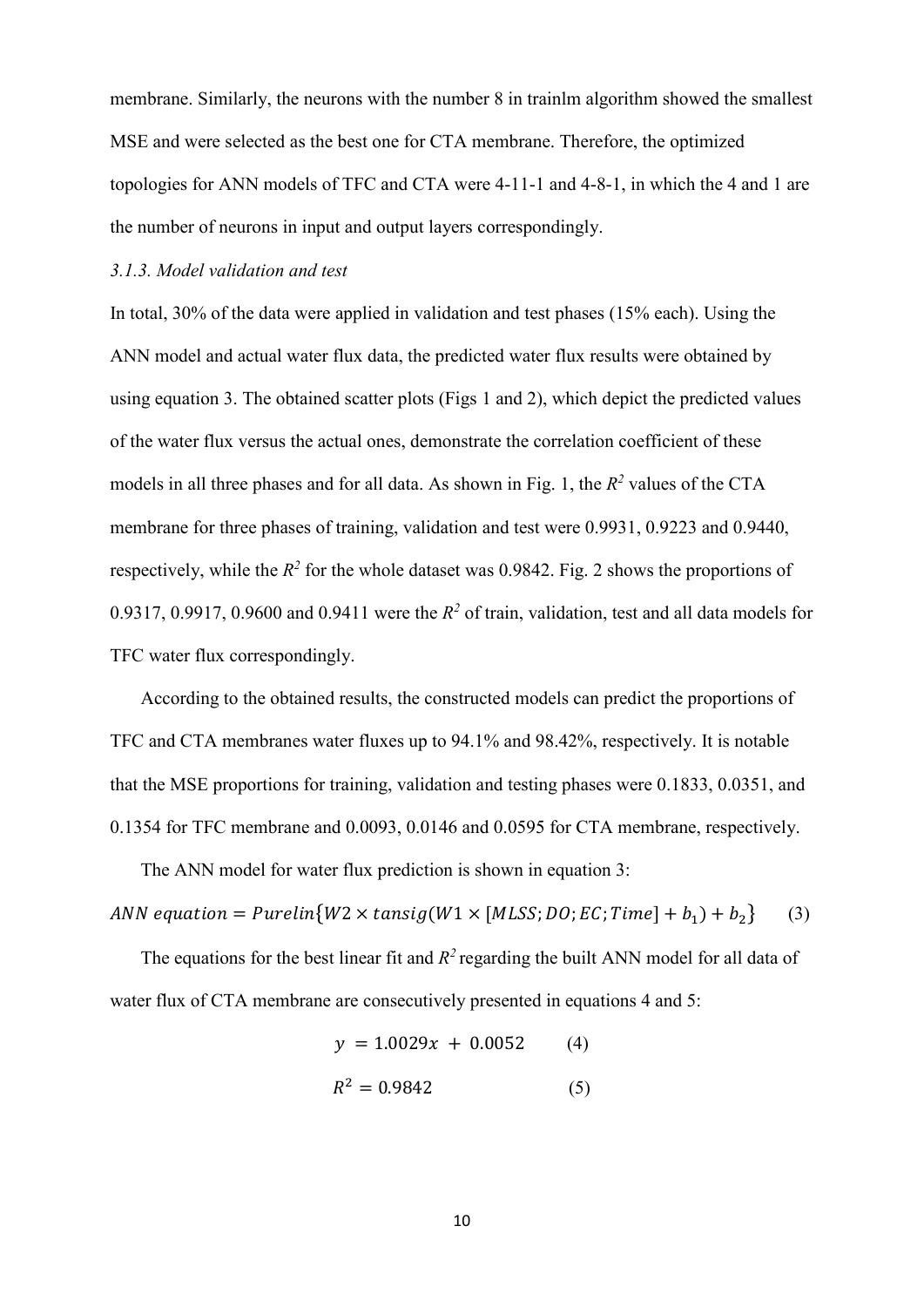membrane. Similarly, the neurons with the number 8 in trainlm algorithm showed the smallest MSE and were selected as the best one for CTA membrane. Therefore, the optimized topologies for ANN models of TFC and CTA were 4-11-1 and 4-8-1, in which the 4 and 1 are the number of neurons in input and output layers correspondingly.

#### *3.1.3. Model validation and test*

In total, 30% of the data were applied in validation and test phases (15% each). Using the ANN model and actual water flux data, the predicted water flux results were obtained by using equation 3. The obtained scatter plots (Figs 1 and 2), which depict the predicted values of the water flux versus the actual ones, demonstrate the correlation coefficient of these models in all three phases and for all data. As shown in Fig. 1, the *R2* values of the CTA membrane for three phases of training, validation and test were 0.9931, 0.9223 and 0.9440, respectively, while the  $R^2$  for the whole dataset was 0.9842. Fig. 2 shows the proportions of 0.9317, 0.9917, 0.9600 and 0.9411 were the *R2* of train, validation, test and all data models for TFC water flux correspondingly.

According to the obtained results, the constructed models can predict the proportions of TFC and CTA membranes water fluxes up to 94.1% and 98.42%, respectively. It is notable that the MSE proportions for training, validation and testing phases were 0.1833, 0.0351, and 0.1354 for TFC membrane and 0.0093, 0.0146 and 0.0595 for CTA membrane, respectively.

The ANN model for water flux prediction is shown in equation 3:

ANN equation =  $Purelin{W2 \times tansig(W1 \times [MLSS; DO; EC; Time] + b<sub>1</sub>) + b<sub>2</sub>}$  (3)

The equations for the best linear fit and  $R^2$  regarding the built ANN model for all data of water flux of CTA membrane are consecutively presented in equations 4 and 5:

$$
y = 1.0029x + 0.0052 \tag{4}
$$

$$
R^2 = 0.9842\tag{5}
$$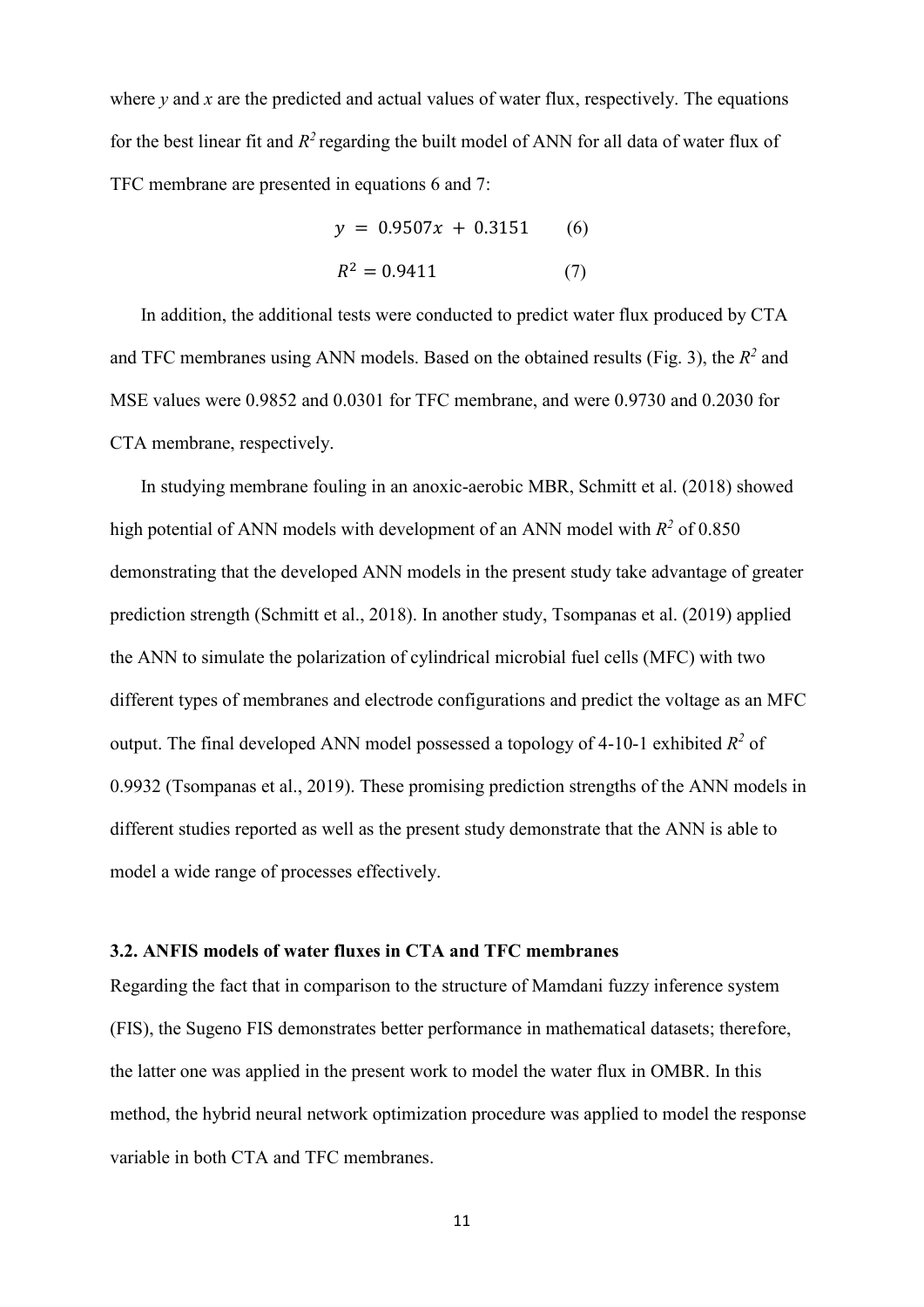where  $\nu$  and  $\chi$  are the predicted and actual values of water flux, respectively. The equations for the best linear fit and  $R^2$  regarding the built model of ANN for all data of water flux of TFC membrane are presented in equations 6 and 7:

$$
y = 0.9507x + 0.3151
$$
 (6)  

$$
R^2 = 0.9411
$$
 (7)

In addition, the additional tests were conducted to predict water flux produced by CTA and TFC membranes using ANN models. Based on the obtained results (Fig. 3), the  $R^2$  and MSE values were 0.9852 and 0.0301 for TFC membrane, and were 0.9730 and 0.2030 for CTA membrane, respectively.

In studying membrane fouling in an anoxic-aerobic MBR, Schmitt et al. (2018) showed high potential of ANN models with development of an ANN model with *R2* of 0.850 demonstrating that the developed ANN models in the present study take advantage of greater prediction strength (Schmitt et al., 2018). In another study, Tsompanas et al. (2019) applied the ANN to simulate the polarization of cylindrical microbial fuel cells (MFC) with two different types of membranes and electrode configurations and predict the voltage as an MFC output. The final developed ANN model possessed a topology of 4-10-1 exhibited *R2* of 0.9932 (Tsompanas et al., 2019). These promising prediction strengths of the ANN models in different studies reported as well as the present study demonstrate that the ANN is able to model a wide range of processes effectively.

## **3.2. ANFIS models of water fluxes in CTA and TFC membranes**

Regarding the fact that in comparison to the structure of Mamdani fuzzy inference system (FIS), the Sugeno FIS demonstrates better performance in mathematical datasets; therefore, the latter one was applied in the present work to model the water flux in OMBR. In this method, the hybrid neural network optimization procedure was applied to model the response variable in both CTA and TFC membranes.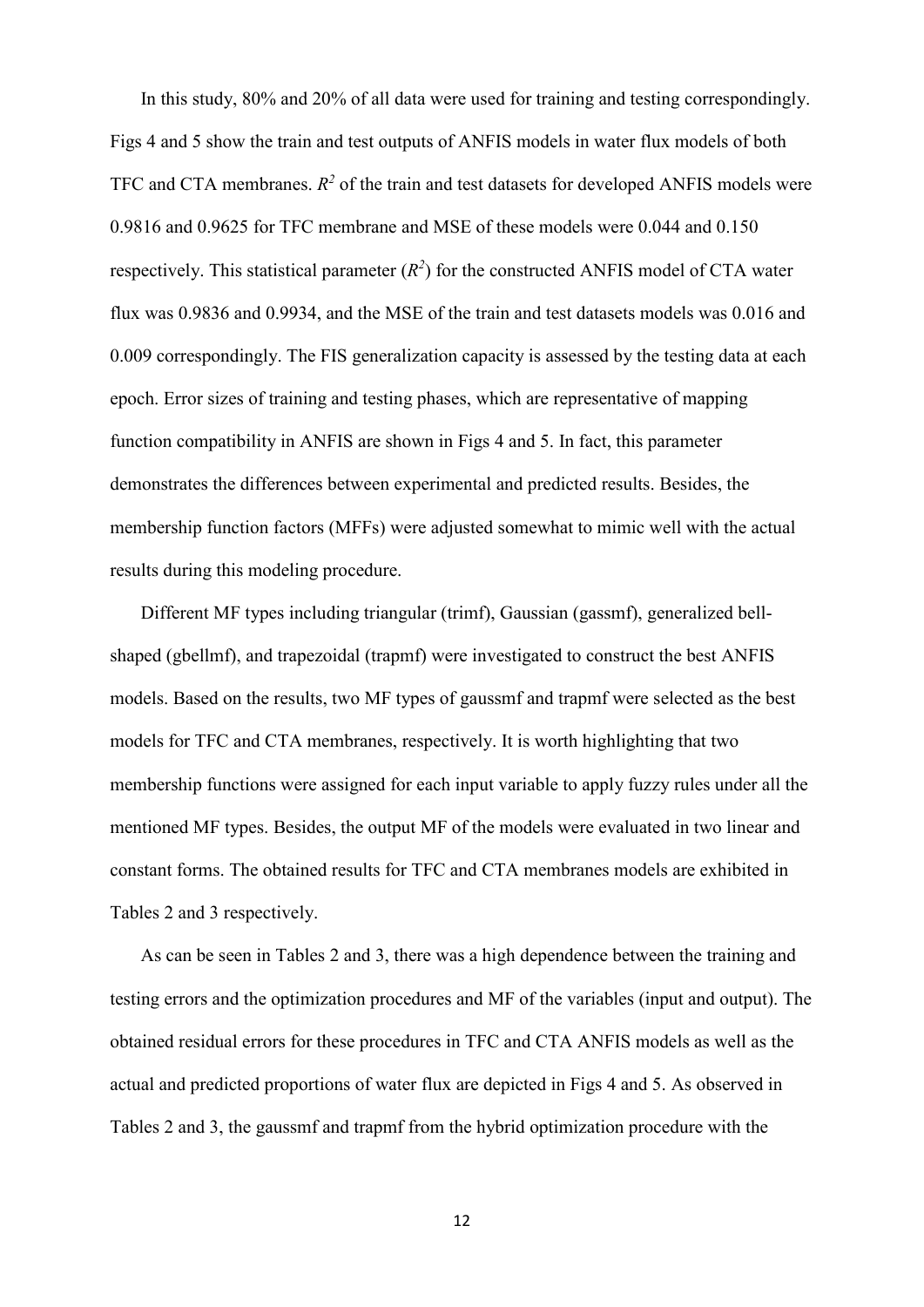In this study, 80% and 20% of all data were used for training and testing correspondingly. Figs 4 and 5 show the train and test outputs of ANFIS models in water flux models of both TFC and CTA membranes.  $R^2$  of the train and test datasets for developed ANFIS models were 0.9816 and 0.9625 for TFC membrane and MSE of these models were 0.044 and 0.150 respectively. This statistical parameter  $(R^2)$  for the constructed ANFIS model of CTA water flux was 0.9836 and 0.9934, and the MSE of the train and test datasets models was 0.016 and 0.009 correspondingly. The FIS generalization capacity is assessed by the testing data at each epoch. Error sizes of training and testing phases, which are representative of mapping function compatibility in ANFIS are shown in Figs 4 and 5. In fact, this parameter demonstrates the differences between experimental and predicted results. Besides, the membership function factors (MFFs) were adjusted somewhat to mimic well with the actual results during this modeling procedure.

Different MF types including triangular (trimf), Gaussian (gassmf), generalized bellshaped (gbellmf), and trapezoidal (trapmf) were investigated to construct the best ANFIS models. Based on the results, two MF types of gaussmf and trapmf were selected as the best models for TFC and CTA membranes, respectively. It is worth highlighting that two membership functions were assigned for each input variable to apply fuzzy rules under all the mentioned MF types. Besides, the output MF of the models were evaluated in two linear and constant forms. The obtained results for TFC and CTA membranes models are exhibited in Tables 2 and 3 respectively.

As can be seen in Tables 2 and 3, there was a high dependence between the training and testing errors and the optimization procedures and MF of the variables (input and output). The obtained residual errors for these procedures in TFC and CTA ANFIS models as well as the actual and predicted proportions of water flux are depicted in Figs 4 and 5. As observed in Tables 2 and 3, the gaussmf and trapmf from the hybrid optimization procedure with the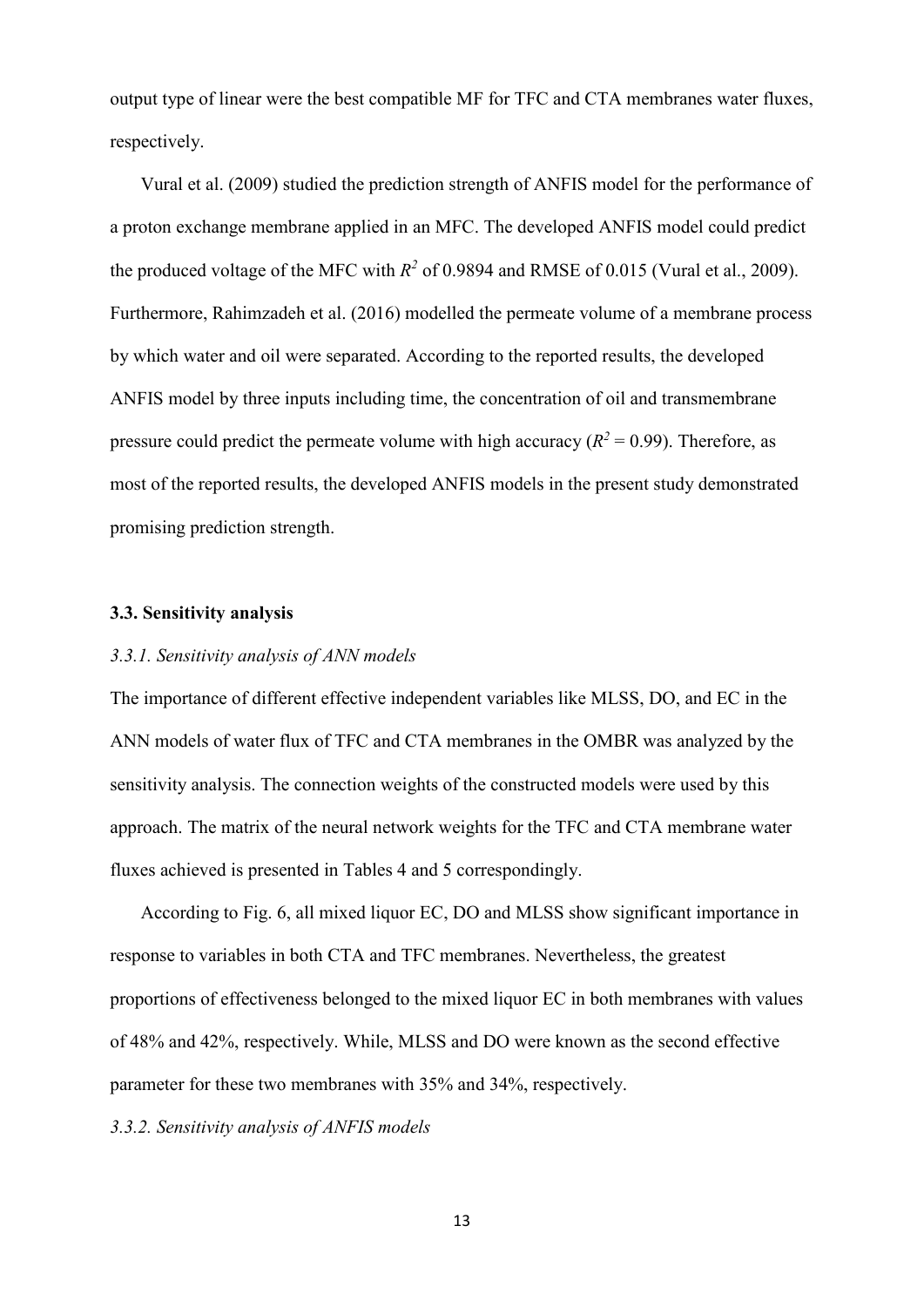output type of linear were the best compatible MF for TFC and CTA membranes water fluxes, respectively.

Vural et al. (2009) studied the prediction strength of ANFIS model for the performance of a proton exchange membrane applied in an MFC. The developed ANFIS model could predict the produced voltage of the MFC with  $R^2$  of 0.9894 and RMSE of 0.015 (Vural et al., 2009). Furthermore, Rahimzadeh et al. (2016) modelled the permeate volume of a membrane process by which water and oil were separated. According to the reported results, the developed ANFIS model by three inputs including time, the concentration of oil and transmembrane pressure could predict the permeate volume with high accuracy  $(R^2 = 0.99)$ . Therefore, as most of the reported results, the developed ANFIS models in the present study demonstrated promising prediction strength.

#### **3.3. Sensitivity analysis**

# *3.3.1. Sensitivity analysis of ANN models*

The importance of different effective independent variables like MLSS, DO, and EC in the ANN models of water flux of TFC and CTA membranes in the OMBR was analyzed by the sensitivity analysis. The connection weights of the constructed models were used by this approach. The matrix of the neural network weights for the TFC and CTA membrane water fluxes achieved is presented in Tables 4 and 5 correspondingly.

According to Fig. 6, all mixed liquor EC, DO and MLSS show significant importance in response to variables in both CTA and TFC membranes. Nevertheless, the greatest proportions of effectiveness belonged to the mixed liquor EC in both membranes with values of 48% and 42%, respectively. While, MLSS and DO were known as the second effective parameter for these two membranes with 35% and 34%, respectively.

## *3.3.2. Sensitivity analysis of ANFIS models*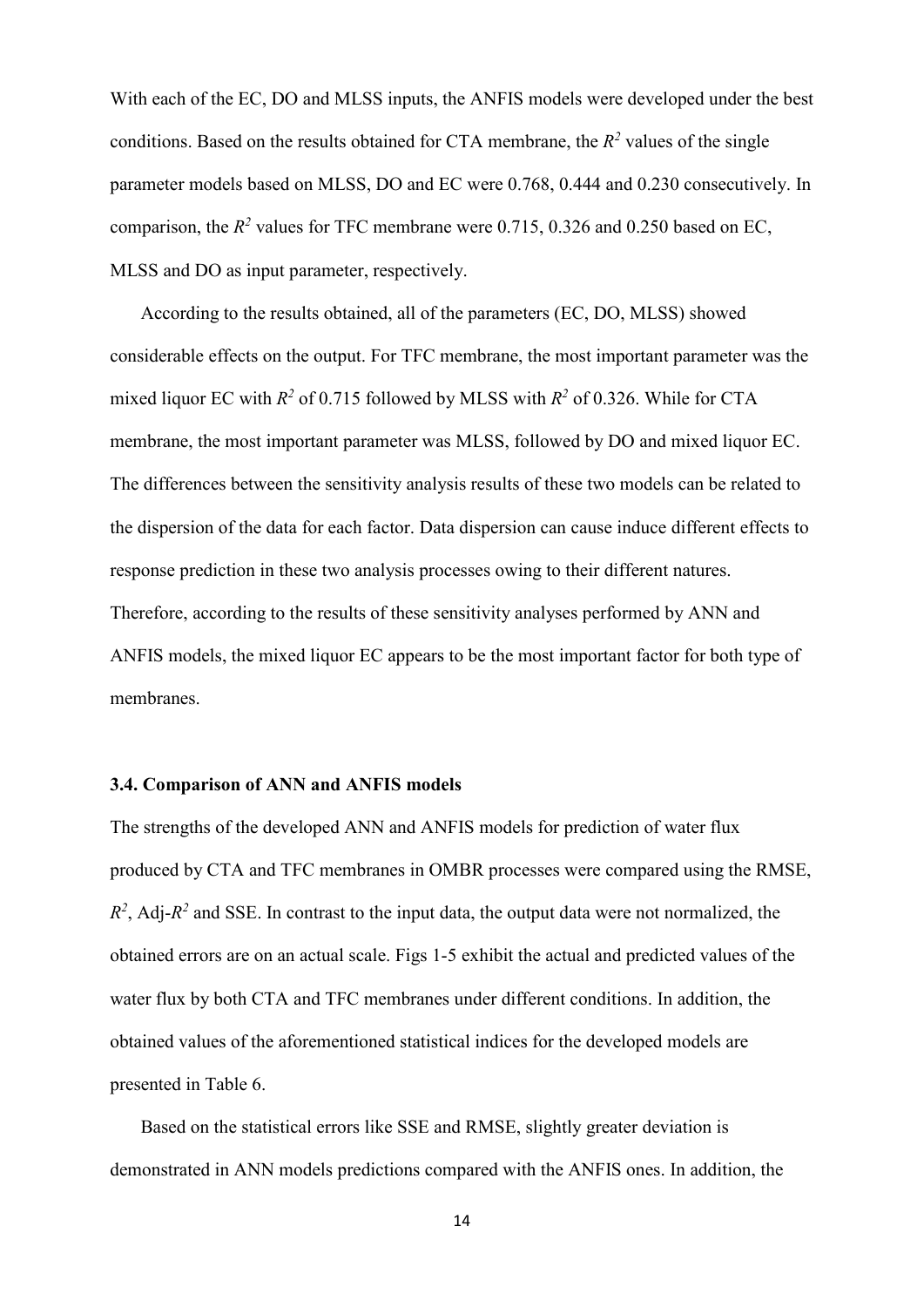With each of the EC, DO and MLSS inputs, the ANFIS models were developed under the best conditions. Based on the results obtained for CTA membrane, the  $R^2$  values of the single parameter models based on MLSS, DO and EC were 0.768, 0.444 and 0.230 consecutively. In comparison, the  $R^2$  values for TFC membrane were 0.715, 0.326 and 0.250 based on EC, MLSS and DO as input parameter, respectively.

According to the results obtained, all of the parameters (EC, DO, MLSS) showed considerable effects on the output. For TFC membrane, the most important parameter was the mixed liquor EC with  $R^2$  of 0.715 followed by MLSS with  $R^2$  of 0.326. While for CTA membrane, the most important parameter was MLSS, followed by DO and mixed liquor EC. The differences between the sensitivity analysis results of these two models can be related to the dispersion of the data for each factor. Data dispersion can cause induce different effects to response prediction in these two analysis processes owing to their different natures. Therefore, according to the results of these sensitivity analyses performed by ANN and ANFIS models, the mixed liquor EC appears to be the most important factor for both type of membranes.

#### **3.4. Comparison of ANN and ANFIS models**

The strengths of the developed ANN and ANFIS models for prediction of water flux produced by CTA and TFC membranes in OMBR processes were compared using the RMSE,  $R<sup>2</sup>$ , Adj- $R<sup>2</sup>$  and SSE. In contrast to the input data, the output data were not normalized, the obtained errors are on an actual scale. Figs 1-5 exhibit the actual and predicted values of the water flux by both CTA and TFC membranes under different conditions. In addition, the obtained values of the aforementioned statistical indices for the developed models are presented in Table 6.

Based on the statistical errors like SSE and RMSE, slightly greater deviation is demonstrated in ANN models predictions compared with the ANFIS ones. In addition, the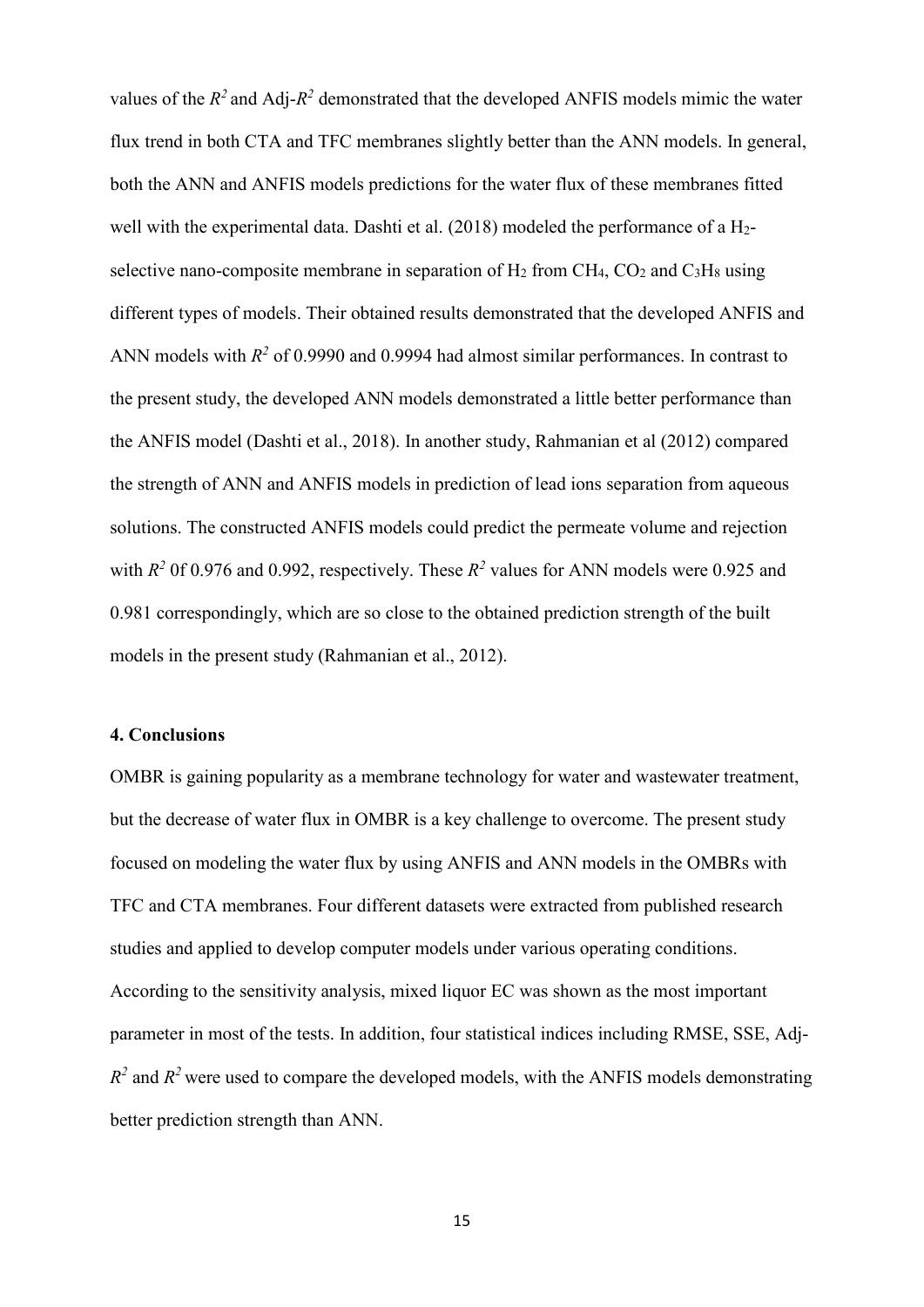values of the  $R^2$  and Adj- $R^2$  demonstrated that the developed ANFIS models mimic the water flux trend in both CTA and TFC membranes slightly better than the ANN models. In general, both the ANN and ANFIS models predictions for the water flux of these membranes fitted well with the experimental data. Dashti et al. (2018) modeled the performance of a H<sub>2</sub>selective nano-composite membrane in separation of  $H_2$  from CH<sub>4</sub>, CO<sub>2</sub> and C<sub>3</sub>H<sub>8</sub> using different types of models. Their obtained results demonstrated that the developed ANFIS and ANN models with  $R^2$  of 0.9990 and 0.9994 had almost similar performances. In contrast to the present study, the developed ANN models demonstrated a little better performance than the ANFIS model (Dashti et al., 2018). In another study, Rahmanian et al (2012) compared the strength of ANN and ANFIS models in prediction of lead ions separation from aqueous solutions. The constructed ANFIS models could predict the permeate volume and rejection with  $R^2$  0f 0.976 and 0.992, respectively. These  $R^2$  values for ANN models were 0.925 and 0.981 correspondingly, which are so close to the obtained prediction strength of the built models in the present study (Rahmanian et al., 2012).

#### **4. Conclusions**

OMBR is gaining popularity as a membrane technology for water and wastewater treatment, but the decrease of water flux in OMBR is a key challenge to overcome. The present study focused on modeling the water flux by using ANFIS and ANN models in the OMBRs with TFC and CTA membranes. Four different datasets were extracted from published research studies and applied to develop computer models under various operating conditions. According to the sensitivity analysis, mixed liquor EC was shown as the most important parameter in most of the tests. In addition, four statistical indices including RMSE, SSE, Adj- $R^2$  and  $R^2$  were used to compare the developed models, with the ANFIS models demonstrating better prediction strength than ANN.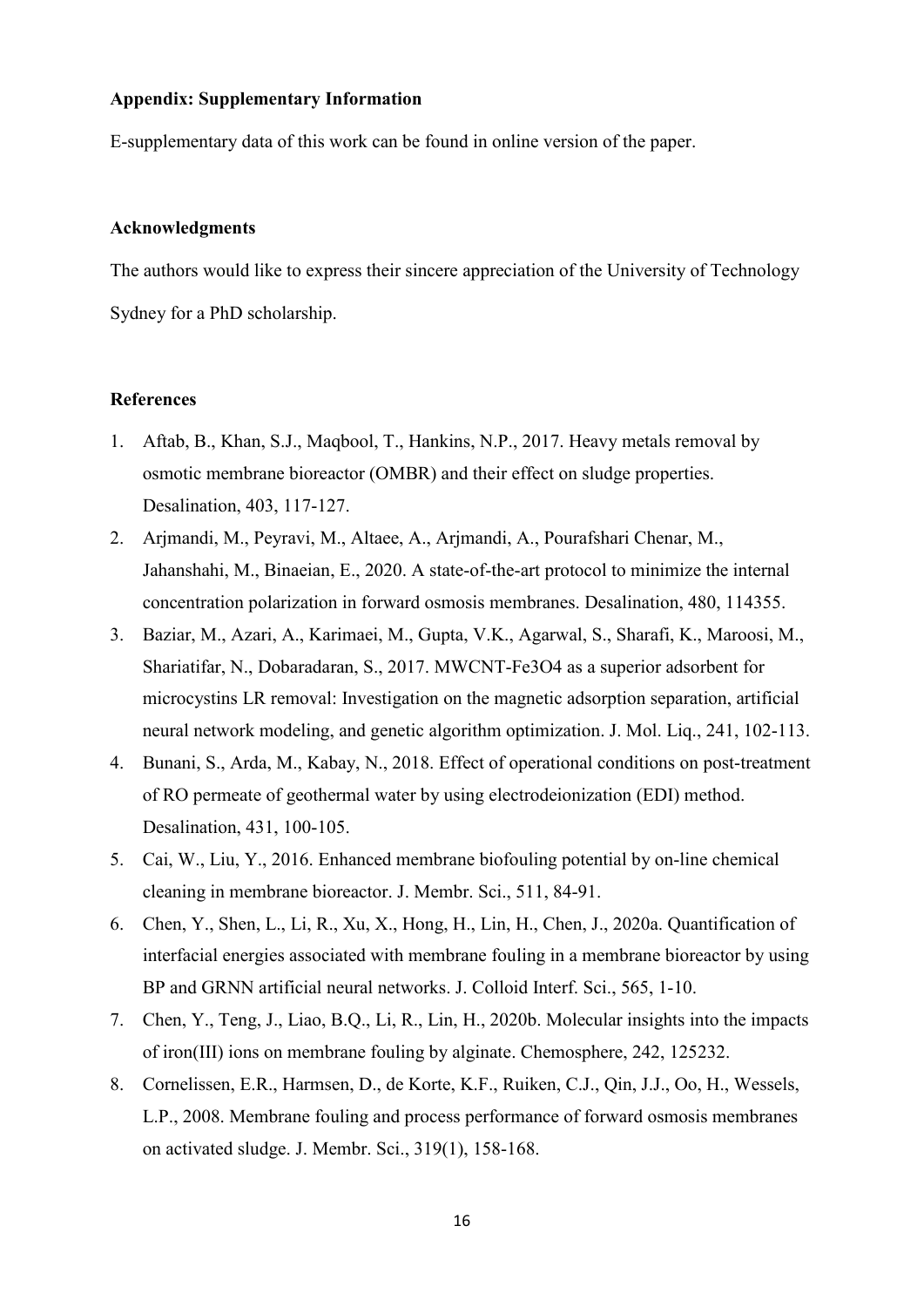# **Appendix: Supplementary Information**

E-supplementary data of this work can be found in online version of the paper.

## **Acknowledgments**

The authors would like to express their sincere appreciation of the University of Technology Sydney for a PhD scholarship.

# **References**

- 1. Aftab, B., Khan, S.J., Maqbool, T., Hankins, N.P., 2017. Heavy metals removal by osmotic membrane bioreactor (OMBR) and their effect on sludge properties. Desalination, 403, 117-127.
- 2. Arjmandi, M., Peyravi, M., Altaee, A., Arjmandi, A., Pourafshari Chenar, M., Jahanshahi, M., Binaeian, E., 2020. A state-of-the-art protocol to minimize the internal concentration polarization in forward osmosis membranes. Desalination, 480, 114355.
- 3. Baziar, M., Azari, A., Karimaei, M., Gupta, V.K., Agarwal, S., Sharafi, K., Maroosi, M., Shariatifar, N., Dobaradaran, S., 2017. MWCNT-Fe3O4 as a superior adsorbent for microcystins LR removal: Investigation on the magnetic adsorption separation, artificial neural network modeling, and genetic algorithm optimization. J. Mol. Liq., 241, 102-113.
- 4. Bunani, S., Arda, M., Kabay, N., 2018. Effect of operational conditions on post-treatment of RO permeate of geothermal water by using electrodeionization (EDI) method. Desalination, 431, 100-105.
- 5. Cai, W., Liu, Y., 2016. Enhanced membrane biofouling potential by on-line chemical cleaning in membrane bioreactor. J. Membr. Sci., 511, 84-91.
- 6. Chen, Y., Shen, L., Li, R., Xu, X., Hong, H., Lin, H., Chen, J., 2020a. Quantification of interfacial energies associated with membrane fouling in a membrane bioreactor by using BP and GRNN artificial neural networks. J. Colloid Interf. Sci., 565, 1-10.
- 7. Chen, Y., Teng, J., Liao, B.Q., Li, R., Lin, H., 2020b. Molecular insights into the impacts of iron(III) ions on membrane fouling by alginate. Chemosphere, 242, 125232.
- 8. Cornelissen, E.R., Harmsen, D., de Korte, K.F., Ruiken, C.J., Qin, J.J., Oo, H., Wessels, L.P., 2008. Membrane fouling and process performance of forward osmosis membranes on activated sludge. J. Membr. Sci., 319(1), 158-168.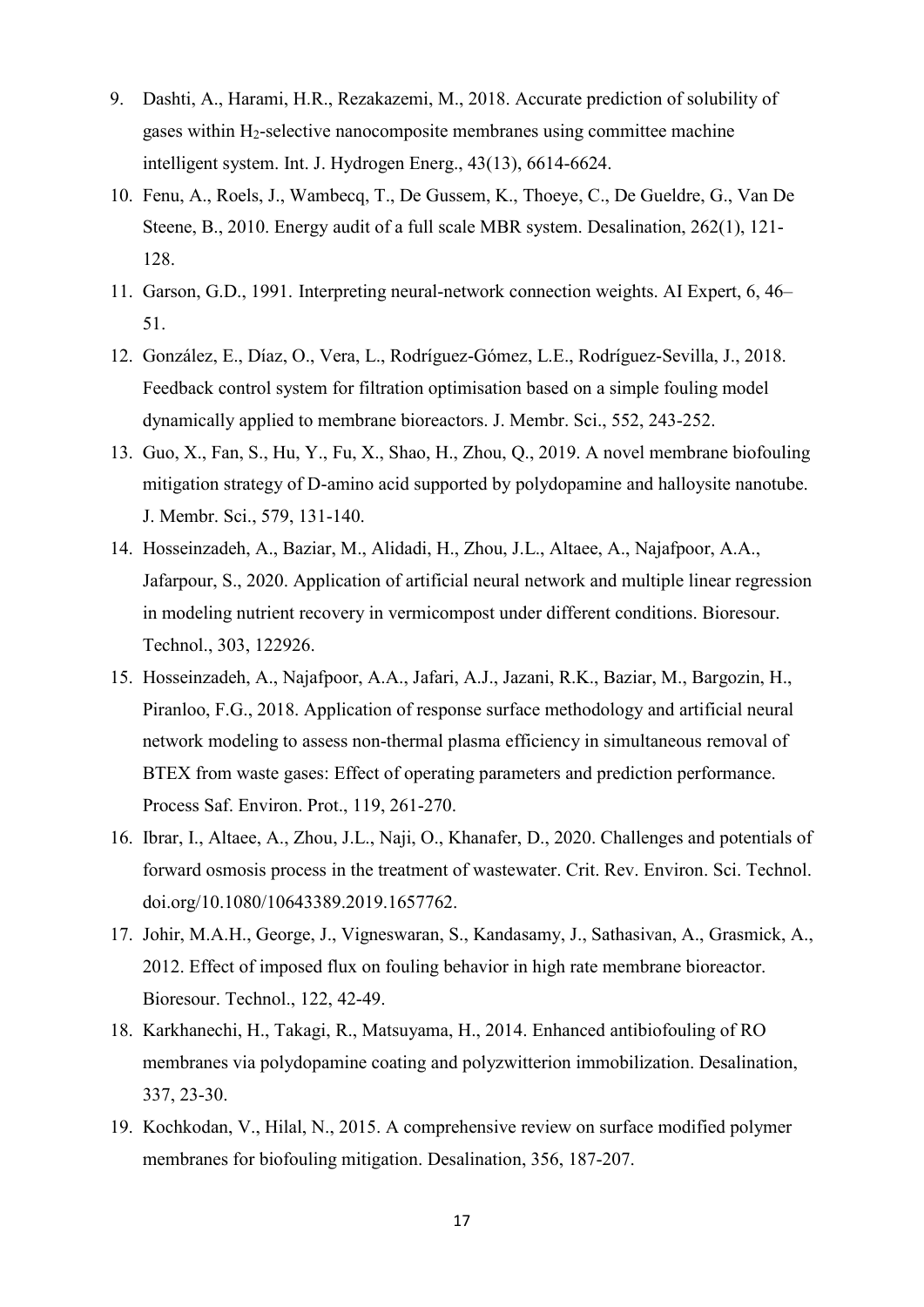- 9. Dashti, A., Harami, H.R., Rezakazemi, M., 2018. Accurate prediction of solubility of gases within H2-selective nanocomposite membranes using committee machine intelligent system. Int. J. Hydrogen Energ., 43(13), 6614-6624.
- 10. Fenu, A., Roels, J., Wambecq, T., De Gussem, K., Thoeye, C., De Gueldre, G., Van De Steene, B., 2010. Energy audit of a full scale MBR system. Desalination, 262(1), 121- 128.
- 11. Garson, G.D., 1991. Interpreting neural-network connection weights. AI Expert, 6, 46– 51.
- 12. González, E., Díaz, O., Vera, L., Rodríguez-Gómez, L.E., Rodríguez-Sevilla, J., 2018. Feedback control system for filtration optimisation based on a simple fouling model dynamically applied to membrane bioreactors. J. Membr. Sci., 552, 243-252.
- 13. Guo, X., Fan, S., Hu, Y., Fu, X., Shao, H., Zhou, Q., 2019. A novel membrane biofouling mitigation strategy of D-amino acid supported by polydopamine and halloysite nanotube. J. Membr. Sci., 579, 131-140.
- 14. Hosseinzadeh, A., Baziar, M., Alidadi, H., Zhou, J.L., Altaee, A., Najafpoor, A.A., Jafarpour, S., 2020. Application of artificial neural network and multiple linear regression in modeling nutrient recovery in vermicompost under different conditions. Bioresour. Technol., 303, 122926.
- 15. Hosseinzadeh, A., Najafpoor, A.A., Jafari, A.J., Jazani, R.K., Baziar, M., Bargozin, H., Piranloo, F.G., 2018. Application of response surface methodology and artificial neural network modeling to assess non-thermal plasma efficiency in simultaneous removal of BTEX from waste gases: Effect of operating parameters and prediction performance. Process Saf. Environ. Prot., 119, 261-270.
- 16. Ibrar, I., Altaee, A., Zhou, J.L., Naji, O., Khanafer, D., 2020. Challenges and potentials of forward osmosis process in the treatment of wastewater. Crit. Rev. Environ. Sci. Technol. doi.org/10.1080/10643389.2019.1657762.
- 17. Johir, M.A.H., George, J., Vigneswaran, S., Kandasamy, J., Sathasivan, A., Grasmick, A., 2012. Effect of imposed flux on fouling behavior in high rate membrane bioreactor. Bioresour. Technol., 122, 42-49.
- 18. Karkhanechi, H., Takagi, R., Matsuyama, H., 2014. Enhanced antibiofouling of RO membranes via polydopamine coating and polyzwitterion immobilization. Desalination, 337, 23-30.
- 19. Kochkodan, V., Hilal, N., 2015. A comprehensive review on surface modified polymer membranes for biofouling mitigation. Desalination, 356, 187-207.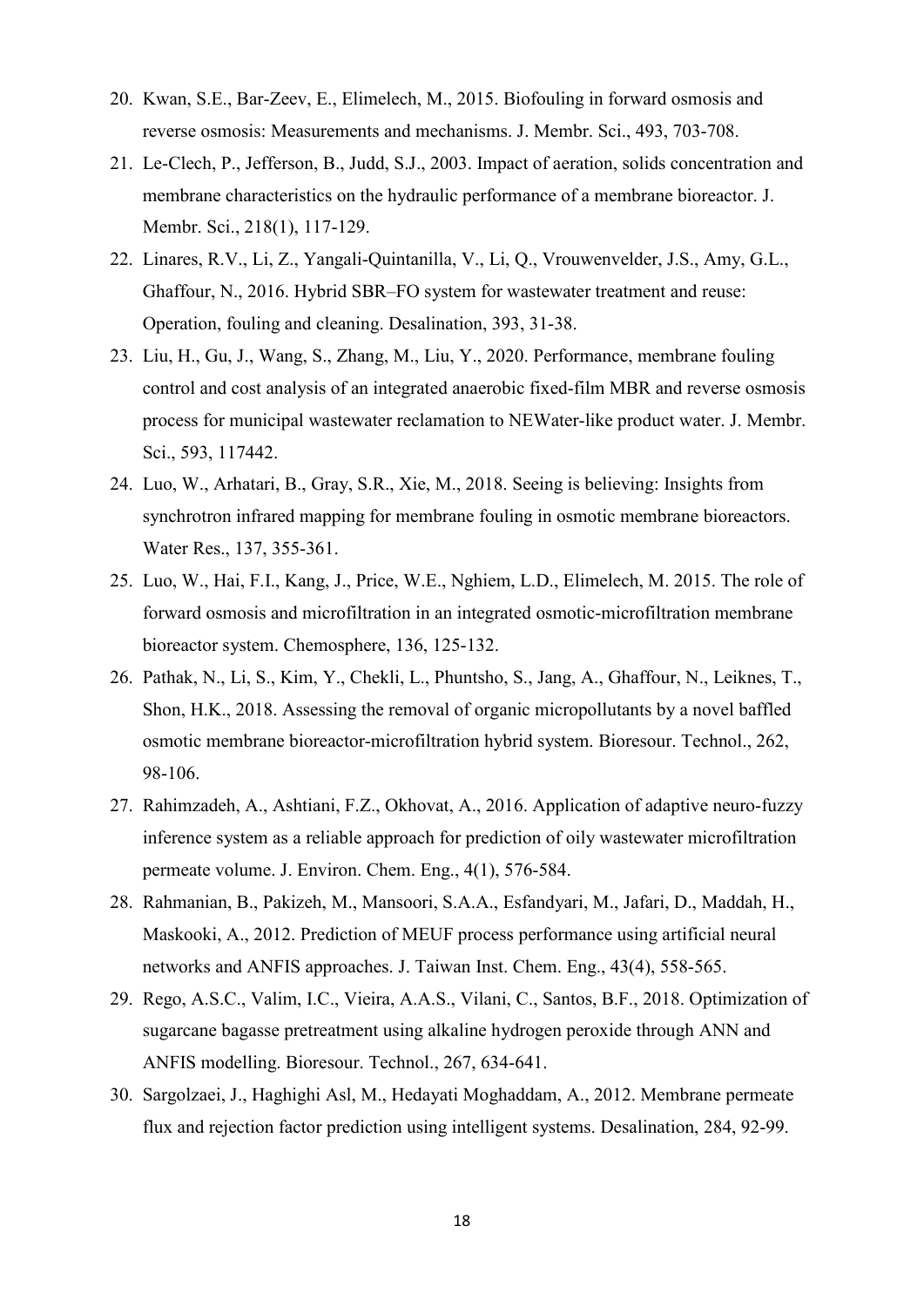- 20. Kwan, S.E., Bar-Zeev, E., Elimelech, M., 2015. Biofouling in forward osmosis and reverse osmosis: Measurements and mechanisms. J. Membr. Sci., 493, 703-708.
- 21. Le-Clech, P., Jefferson, B., Judd, S.J., 2003. Impact of aeration, solids concentration and membrane characteristics on the hydraulic performance of a membrane bioreactor. J. Membr. Sci., 218(1), 117-129.
- 22. Linares, R.V., Li, Z., Yangali-Quintanilla, V., Li, Q., Vrouwenvelder, J.S., Amy, G.L., Ghaffour, N., 2016. Hybrid SBR–FO system for wastewater treatment and reuse: Operation, fouling and cleaning. Desalination, 393, 31-38.
- 23. Liu, H., Gu, J., Wang, S., Zhang, M., Liu, Y., 2020. Performance, membrane fouling control and cost analysis of an integrated anaerobic fixed-film MBR and reverse osmosis process for municipal wastewater reclamation to NEWater-like product water. J. Membr. Sci., 593, 117442.
- 24. Luo, W., Arhatari, B., Gray, S.R., Xie, M., 2018. Seeing is believing: Insights from synchrotron infrared mapping for membrane fouling in osmotic membrane bioreactors. Water Res., 137, 355-361.
- 25. Luo, W., Hai, F.I., Kang, J., Price, W.E., Nghiem, L.D., Elimelech, M. 2015. The role of forward osmosis and microfiltration in an integrated osmotic-microfiltration membrane bioreactor system. Chemosphere, 136, 125-132.
- 26. Pathak, N., Li, S., Kim, Y., Chekli, L., Phuntsho, S., Jang, A., Ghaffour, N., Leiknes, T., Shon, H.K., 2018. Assessing the removal of organic micropollutants by a novel baffled osmotic membrane bioreactor-microfiltration hybrid system. Bioresour. Technol., 262, 98-106.
- 27. Rahimzadeh, A., Ashtiani, F.Z., Okhovat, A., 2016. Application of adaptive neuro-fuzzy inference system as a reliable approach for prediction of oily wastewater microfiltration permeate volume. J. Environ. Chem. Eng., 4(1), 576-584.
- 28. Rahmanian, B., Pakizeh, M., Mansoori, S.A.A., Esfandyari, M., Jafari, D., Maddah, H., Maskooki, A., 2012. Prediction of MEUF process performance using artificial neural networks and ANFIS approaches. J. Taiwan Inst. Chem. Eng., 43(4), 558-565.
- 29. Rego, A.S.C., Valim, I.C., Vieira, A.A.S., Vilani, C., Santos, B.F., 2018. Optimization of sugarcane bagasse pretreatment using alkaline hydrogen peroxide through ANN and ANFIS modelling. Bioresour. Technol., 267, 634-641.
- 30. Sargolzaei, J., Haghighi Asl, M., Hedayati Moghaddam, A., 2012. Membrane permeate flux and rejection factor prediction using intelligent systems. Desalination, 284, 92-99.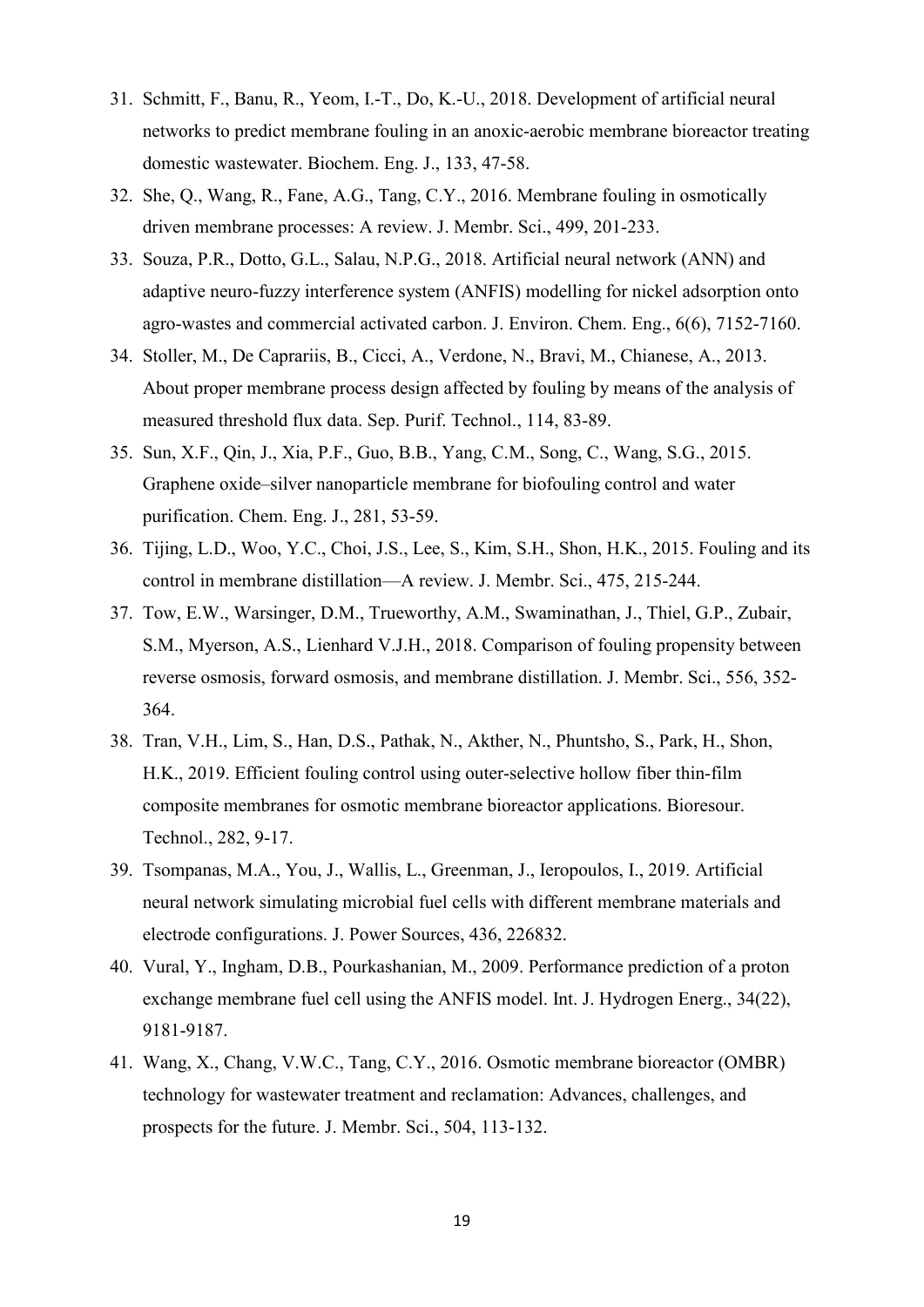- 31. Schmitt, F., Banu, R., Yeom, I.-T., Do, K.-U., 2018. Development of artificial neural networks to predict membrane fouling in an anoxic-aerobic membrane bioreactor treating domestic wastewater. Biochem. Eng. J., 133, 47-58.
- 32. She, Q., Wang, R., Fane, A.G., Tang, C.Y., 2016. Membrane fouling in osmotically driven membrane processes: A review. J. Membr. Sci., 499, 201-233.
- 33. Souza, P.R., Dotto, G.L., Salau, N.P.G., 2018. Artificial neural network (ANN) and adaptive neuro-fuzzy interference system (ANFIS) modelling for nickel adsorption onto agro-wastes and commercial activated carbon. J. Environ. Chem. Eng., 6(6), 7152-7160.
- 34. Stoller, M., De Caprariis, B., Cicci, A., Verdone, N., Bravi, M., Chianese, A., 2013. About proper membrane process design affected by fouling by means of the analysis of measured threshold flux data. Sep. Purif. Technol., 114, 83-89.
- 35. Sun, X.F., Qin, J., Xia, P.F., Guo, B.B., Yang, C.M., Song, C., Wang, S.G., 2015. Graphene oxide–silver nanoparticle membrane for biofouling control and water purification. Chem. Eng. J., 281, 53-59.
- 36. Tijing, L.D., Woo, Y.C., Choi, J.S., Lee, S., Kim, S.H., Shon, H.K., 2015. Fouling and its control in membrane distillation—A review. J. Membr. Sci., 475, 215-244.
- 37. Tow, E.W., Warsinger, D.M., Trueworthy, A.M., Swaminathan, J., Thiel, G.P., Zubair, S.M., Myerson, A.S., Lienhard V.J.H., 2018. Comparison of fouling propensity between reverse osmosis, forward osmosis, and membrane distillation. J. Membr. Sci., 556, 352- 364.
- 38. Tran, V.H., Lim, S., Han, D.S., Pathak, N., Akther, N., Phuntsho, S., Park, H., Shon, H.K., 2019. Efficient fouling control using outer-selective hollow fiber thin-film composite membranes for osmotic membrane bioreactor applications. Bioresour. Technol., 282, 9-17.
- 39. Tsompanas, M.A., You, J., Wallis, L., Greenman, J., Ieropoulos, I., 2019. Artificial neural network simulating microbial fuel cells with different membrane materials and electrode configurations. J. Power Sources, 436, 226832.
- 40. Vural, Y., Ingham, D.B., Pourkashanian, M., 2009. Performance prediction of a proton exchange membrane fuel cell using the ANFIS model. Int. J. Hydrogen Energ., 34(22), 9181-9187.
- 41. Wang, X., Chang, V.W.C., Tang, C.Y., 2016. Osmotic membrane bioreactor (OMBR) technology for wastewater treatment and reclamation: Advances, challenges, and prospects for the future. J. Membr. Sci., 504, 113-132.